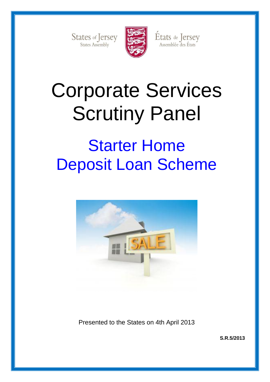States of Jersey States Assembly



États de Jersey<br>Assemblée des États

# Corporate Services Scrutiny Panel

## Starter Home Deposit Loan Scheme



Presented to the States on 4th April 2013

**S.R.5/2013**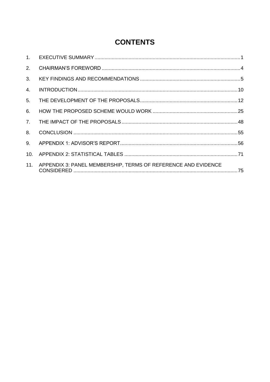## **CONTENTS**

| 2.             |                                                               |  |
|----------------|---------------------------------------------------------------|--|
| 3 <sub>l</sub> |                                                               |  |
| 4.             |                                                               |  |
| 5.             |                                                               |  |
| 6.             |                                                               |  |
| 7 <sub>1</sub> |                                                               |  |
| 8.             |                                                               |  |
| 9.             |                                                               |  |
| 10.            |                                                               |  |
| 11.            | APPENDIX 3: PANEL MEMBERSHIP, TERMS OF REFERENCE AND EVIDENCE |  |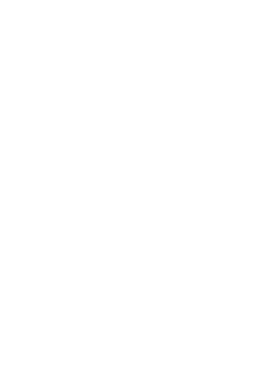<span id="page-3-0"></span>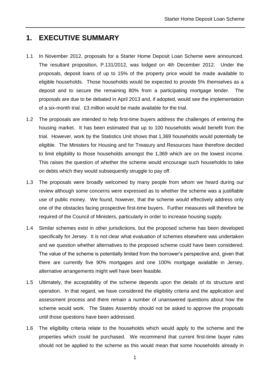## **1. EXECUTIVE SUMMARY**

- 1.1 In November 2012, proposals for a Starter Home Deposit Loan Scheme were announced. The resultant proposition, P.131/2012, was lodged on 4th December 2012. Under the proposals, deposit loans of up to 15% of the property price would be made available to eligible households. Those households would be expected to provide 5% themselves as a deposit and to secure the remaining 80% from a participating mortgage lender. The proposals are due to be debated in April 2013 and, if adopted, would see the implementation of a six-month trial. £3 million would be made available for the trial.
- 1.2 The proposals are intended to help first-time buyers address the challenges of entering the housing market. It has been estimated that up to 100 households would benefit from the trial. However, work by the Statistics Unit shows that 1,369 households would potentially be eligible. The Ministers for Housing and for Treasury and Resources have therefore decided to limit eligibility to those households amongst the 1,369 which are on the lowest income. This raises the question of whether the scheme would encourage such households to take on debts which they would subsequently struggle to pay off.
- 1.3 The proposals were broadly welcomed by many people from whom we heard during our review although some concerns were expressed as to whether the scheme was a justifiable use of public money. We found, however, that the scheme would effectively address only one of the obstacles facing prospective first-time buyers. Further measures will therefore be required of the Council of Ministers, particularly in order to increase housing supply.
- 1.4 Similar schemes exist in other jurisdictions, but the proposed scheme has been developed specifically for Jersey. It is not clear what evaluation of schemes elsewhere was undertaken and we question whether alternatives to the proposed scheme could have been considered. The value of the scheme is potentially limited from the borrower's perspective and, given that there are currently five 90% mortgages and one 100% mortgage available in Jersey, alternative arrangements might well have been feasible.
- 1.5 Ultimately, the acceptability of the scheme depends upon the details of its structure and operation. In that regard, we have considered the eligibility criteria and the application and assessment process and there remain a number of unanswered questions about how the scheme would work. The States Assembly should not be asked to approve the proposals until those questions have been addressed.
- 1.6 The eligibility criteria relate to the households which would apply to the scheme and the properties which could be purchased. We recommend that current first-time buyer rules should not be applied to the scheme as this would mean that some households already in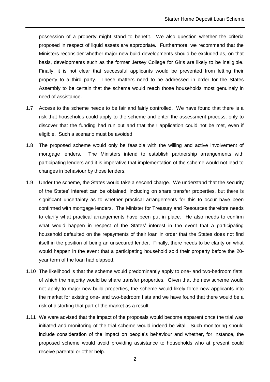possession of a property might stand to benefit. We also question whether the criteria proposed in respect of liquid assets are appropriate. Furthermore, we recommend that the Ministers reconsider whether major new-build developments should be excluded as, on that basis, developments such as the former Jersey College for Girls are likely to be ineligible. Finally, it is not clear that successful applicants would be prevented from letting their property to a third party. These matters need to be addressed in order for the States Assembly to be certain that the scheme would reach those households most genuinely in need of assistance.

- 1.7 Access to the scheme needs to be fair and fairly controlled. We have found that there is a risk that households could apply to the scheme and enter the assessment process, only to discover that the funding had run out and that their application could not be met, even if eligible. Such a scenario must be avoided.
- 1.8 The proposed scheme would only be feasible with the willing and active involvement of mortgage lenders. The Ministers intend to establish partnership arrangements with participating lenders and it is imperative that implementation of the scheme would not lead to changes in behaviour by those lenders.
- 1.9 Under the scheme, the States would take a second charge. We understand that the security of the States' interest can be obtained, including on share transfer properties, but there is significant uncertainty as to whether practical arrangements for this to occur have been confirmed with mortgage lenders. The Minister for Treasury and Resources therefore needs to clarify what practical arrangements have been put in place. He also needs to confirm what would happen in respect of the States' interest in the event that a participating household defaulted on the repayments of their loan in order that the States does not find itself in the position of being an unsecured lender. Finally, there needs to be clarity on what would happen in the event that a participating household sold their property before the 20 year term of the loan had elapsed.
- 1.10 The likelihood is that the scheme would predominantly apply to one- and two-bedroom flats, of which the majority would be share transfer properties. Given that the new scheme would not apply to major new-build properties, the scheme would likely force new applicants into the market for existing one- and two-bedroom flats and we have found that there would be a risk of distorting that part of the market as a result.
- 1.11 We were advised that the impact of the proposals would become apparent once the trial was initiated and monitoring of the trial scheme would indeed be vital. Such monitoring should include consideration of the impact on people's behaviour and whether, for instance, the proposed scheme would avoid providing assistance to households who at present could receive parental or other help.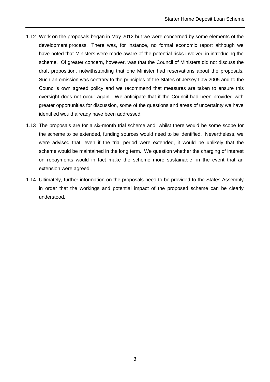- 1.12 Work on the proposals began in May 2012 but we were concerned by some elements of the development process. There was, for instance, no formal economic report although we have noted that Ministers were made aware of the potential risks involved in introducing the scheme. Of greater concern, however, was that the Council of Ministers did not discuss the draft proposition, notwithstanding that one Minister had reservations about the proposals. Such an omission was contrary to the principles of the States of Jersey Law 2005 and to the Council's own agreed policy and we recommend that measures are taken to ensure this oversight does not occur again. We anticipate that if the Council had been provided with greater opportunities for discussion, some of the questions and areas of uncertainty we have identified would already have been addressed.
- 1.13 The proposals are for a six-month trial scheme and, whilst there would be some scope for the scheme to be extended, funding sources would need to be identified. Nevertheless, we were advised that, even if the trial period were extended, it would be unlikely that the scheme would be maintained in the long term. We question whether the charging of interest on repayments would in fact make the scheme more sustainable, in the event that an extension were agreed.
- 1.14 Ultimately, further information on the proposals need to be provided to the States Assembly in order that the workings and potential impact of the proposed scheme can be clearly understood.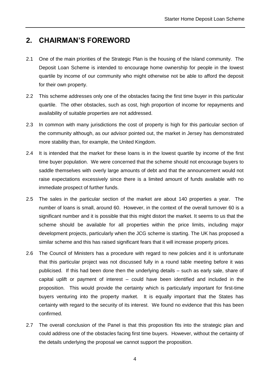### <span id="page-7-0"></span>**2. CHAIRMAN'S FOREWORD**

- 2.1 One of the main priorities of the Strategic Plan is the housing of the Island community. The Deposit Loan Scheme is intended to encourage home ownership for people in the lowest quartile by income of our community who might otherwise not be able to afford the deposit for their own property.
- 2.2 This scheme addresses only one of the obstacles facing the first time buyer in this particular quartile. The other obstacles, such as cost, high proportion of income for repayments and availability of suitable properties are not addressed.
- 2.3 In common with many jurisdictions the cost of property is high for this particular section of the community although, as our advisor pointed out, the market in Jersey has demonstrated more stability than, for example, the United Kingdom.
- 2.4 It is intended that the market for these loans is in the lowest quartile by income of the first time buyer population. We were concerned that the scheme should not encourage buyers to saddle themselves with overly large amounts of debt and that the announcement would not raise expectations excessively since there is a limited amount of funds available with no immediate prospect of further funds.
- 2.5 The sales in the particular section of the market are about 140 properties a year. The number of loans is small, around 60. However, in the context of the overall turnover 60 is a significant number and it is possible that this might distort the market. It seems to us that the scheme should be available for all properties within the price limits, including major development projects, particularly when the JCG scheme is starting. The UK has proposed a similar scheme and this has raised significant fears that it will increase property prices.
- 2.6 The Council of Ministers has a procedure with regard to new policies and it is unfortunate that this particular project was not discussed fully in a round table meeting before it was publicised. If this had been done then the underlying details – such as early sale, share of capital uplift or payment of interest – could have been identified and included in the proposition. This would provide the certainty which is particularly important for first-time buyers venturing into the property market. It is equally important that the States has certainty with regard to the security of its interest. We found no evidence that this has been confirmed.
- 2.7 The overall conclusion of the Panel is that this proposition fits into the strategic plan and could address one of the obstacles facing first time buyers. However, without the certainty of the details underlying the proposal we cannot support the proposition.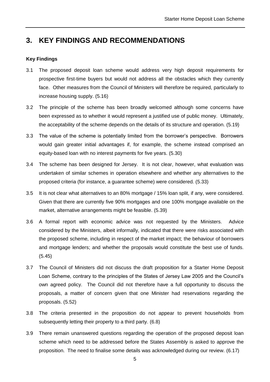## <span id="page-8-0"></span>**3. KEY FINDINGS AND RECOMMENDATIONS**

#### **Key Findings**

- 3.1 The proposed deposit loan scheme would address very high deposit requirements for prospective first-time buyers but would not address all the obstacles which they currently face. Other measures from the Council of Ministers will therefore be required, particularly to increase housing supply. (5.16)
- 3.2 The principle of the scheme has been broadly welcomed although some concerns have been expressed as to whether it would represent a justified use of public money. Ultimately, the acceptability of the scheme depends on the details of its structure and operation. (5.19)
- 3.3 The value of the scheme is potentially limited from the borrower's perspective. Borrowers would gain greater initial advantages if, for example, the scheme instead comprised an equity-based loan with no interest payments for five years. (5.30)
- 3.4 The scheme has been designed for Jersey. It is not clear, however, what evaluation was undertaken of similar schemes in operation elsewhere and whether any alternatives to the proposed criteria (for instance, a guarantee scheme) were considered. (5.33)
- 3.5 It is not clear what alternatives to an 80% mortgage / 15% loan split, if any, were considered. Given that there are currently five 90% mortgages and one 100% mortgage available on the market, alternative arrangements might be feasible. (5.39)
- 3.6 A formal report with economic advice was not requested by the Ministers. Advice considered by the Ministers, albeit informally, indicated that there were risks associated with the proposed scheme, including in respect of the market impact; the behaviour of borrowers and mortgage lenders; and whether the proposals would constitute the best use of funds. (5.45)
- 3.7 The Council of Ministers did not discuss the draft proposition for a Starter Home Deposit Loan Scheme, contrary to the principles of the States of Jersey Law 2005 and the Council's own agreed policy. The Council did not therefore have a full opportunity to discuss the proposals, a matter of concern given that one Minister had reservations regarding the proposals. (5.52)
- 3.8 The criteria presented in the proposition do not appear to prevent households from subsequently letting their property to a third party. (6.8)
- 3.9 There remain unanswered questions regarding the operation of the proposed deposit loan scheme which need to be addressed before the States Assembly is asked to approve the proposition. The need to finalise some details was acknowledged during our review. (6.17)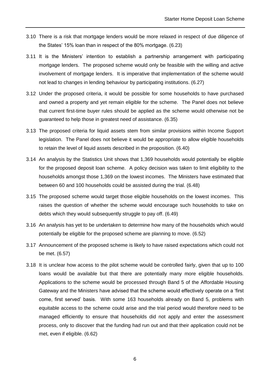- 3.10 There is a risk that mortgage lenders would be more relaxed in respect of due diligence of the States' 15% loan than in respect of the 80% mortgage. (6.23)
- 3.11 It is the Ministers' intention to establish a partnership arrangement with participating mortgage lenders. The proposed scheme would only be feasible with the willing and active involvement of mortgage lenders. It is imperative that implementation of the scheme would not lead to changes in lending behaviour by participating institutions. (6.27)
- 3.12 Under the proposed criteria, it would be possible for some households to have purchased and owned a property and yet remain eligible for the scheme. The Panel does not believe that current first-time buyer rules should be applied as the scheme would otherwise not be guaranteed to help those in greatest need of assistance. (6.35)
- 3.13 The proposed criteria for liquid assets stem from similar provisions within Income Support legislation. The Panel does not believe it would be appropriate to allow eligible households to retain the level of liquid assets described in the proposition. (6.40)
- 3.14 An analysis by the Statistics Unit shows that 1,369 households would potentially be eligible for the proposed deposit loan scheme. A policy decision was taken to limit eligibility to the households amongst those 1,369 on the lowest incomes. The Ministers have estimated that between 60 and 100 households could be assisted during the trial. (6.48)
- 3.15 The proposed scheme would target those eligible households on the lowest incomes. This raises the question of whether the scheme would encourage such households to take on debts which they would subsequently struggle to pay off. (6.49)
- 3.16 An analysis has yet to be undertaken to determine how many of the households which would potentially be eligible for the proposed scheme are planning to move. (6.52)
- 3.17 Announcement of the proposed scheme is likely to have raised expectations which could not be met. (6.57)
- 3.18 It is unclear how access to the pilot scheme would be controlled fairly, given that up to 100 loans would be available but that there are potentially many more eligible households. Applications to the scheme would be processed through Band 5 of the Affordable Housing Gateway and the Ministers have advised that the scheme would effectively operate on a 'first come, first served' basis. With some 163 households already on Band 5, problems with equitable access to the scheme could arise and the trial period would therefore need to be managed efficiently to ensure that households did not apply and enter the assessment process, only to discover that the funding had run out and that their application could not be met, even if eligible. (6.62)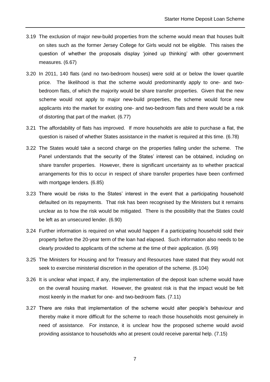- 3.19 The exclusion of major new-build properties from the scheme would mean that houses built on sites such as the former Jersey College for Girls would not be eligible. This raises the question of whether the proposals display 'joined up thinking' with other government measures. (6.67)
- 3.20 In 2011, 140 flats (and no two-bedroom houses) were sold at or below the lower quartile price. The likelihood is that the scheme would predominantly apply to one- and twobedroom flats, of which the majority would be share transfer properties. Given that the new scheme would not apply to major new-build properties, the scheme would force new applicants into the market for existing one- and two-bedroom flats and there would be a risk of distorting that part of the market. (6.77)
- 3.21 The affordability of flats has improved. If more households are able to purchase a flat, the question is raised of whether States assistance in the market is required at this time. (6.78)
- 3.22 The States would take a second charge on the properties falling under the scheme. The Panel understands that the security of the States' interest can be obtained, including on share transfer properties. However, there is significant uncertainty as to whether practical arrangements for this to occur in respect of share transfer properties have been confirmed with mortgage lenders. (6.85)
- 3.23 There would be risks to the States' interest in the event that a participating household defaulted on its repayments. That risk has been recognised by the Ministers but it remains unclear as to how the risk would be mitigated. There is the possibility that the States could be left as an unsecured lender. (6.90)
- 3.24 Further information is required on what would happen if a participating household sold their property before the 20-year term of the loan had elapsed. Such information also needs to be clearly provided to applicants of the scheme at the time of their application. (6.99)
- 3.25 The Ministers for Housing and for Treasury and Resources have stated that they would not seek to exercise ministerial discretion in the operation of the scheme. (6.104)
- 3.26 It is unclear what impact, if any, the implementation of the deposit loan scheme would have on the overall housing market. However, the greatest risk is that the impact would be felt most keenly in the market for one- and two-bedroom flats. (7.11)
- 3.27 There are risks that implementation of the scheme would alter people's behaviour and thereby make it more difficult for the scheme to reach those households most genuinely in need of assistance. For instance, it is unclear how the proposed scheme would avoid providing assistance to households who at present could receive parental help. (7.15)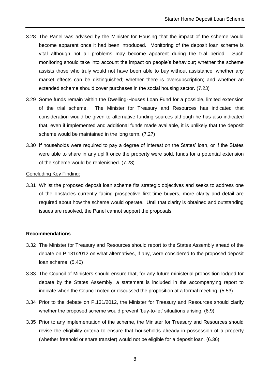- 3.28 The Panel was advised by the Minister for Housing that the impact of the scheme would become apparent once it had been introduced. Monitoring of the deposit loan scheme is vital although not all problems may become apparent during the trial period. Such monitoring should take into account the impact on people's behaviour; whether the scheme assists those who truly would not have been able to buy without assistance; whether any market effects can be distinguished; whether there is oversubscription; and whether an extended scheme should cover purchases in the social housing sector. (7.23)
- 3.29 Some funds remain within the Dwelling-Houses Loan Fund for a possible, limited extension of the trial scheme. The Minister for Treasury and Resources has indicated that consideration would be given to alternative funding sources although he has also indicated that, even if implemented and additional funds made available, it is unlikely that the deposit scheme would be maintained in the long term. (7.27)
- 3.30 If households were required to pay a degree of interest on the States' loan, or if the States were able to share in any uplift once the property were sold, funds for a potential extension of the scheme would be replenished. (7.28)

#### Concluding Key Finding:

3.31 Whilst the proposed deposit loan scheme fits strategic objectives and seeks to address one of the obstacles currently facing prospective first-time buyers, more clarity and detail are required about how the scheme would operate. Until that clarity is obtained and outstanding issues are resolved, the Panel cannot support the proposals.

#### **Recommendations**

- 3.32 The Minister for Treasury and Resources should report to the States Assembly ahead of the debate on P.131/2012 on what alternatives, if any, were considered to the proposed deposit loan scheme. (5.40)
- 3.33 The Council of Ministers should ensure that, for any future ministerial proposition lodged for debate by the States Assembly, a statement is included in the accompanying report to indicate when the Council noted or discussed the proposition at a formal meeting. (5.53)
- 3.34 Prior to the debate on P.131/2012, the Minister for Treasury and Resources should clarify whether the proposed scheme would prevent 'buy-to-let' situations arising.  $(6.9)$
- 3.35 Prior to any implementation of the scheme, the Minister for Treasury and Resources should revise the eligibility criteria to ensure that households already in possession of a property (whether freehold or share transfer) would not be eligible for a deposit loan. (6.36)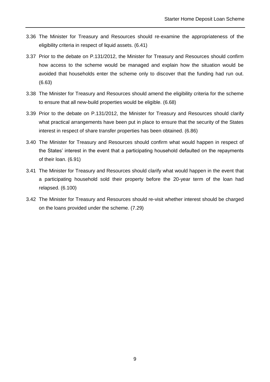- 3.36 The Minister for Treasury and Resources should re-examine the appropriateness of the eligibility criteria in respect of liquid assets. (6.41)
- 3.37 Prior to the debate on P.131/2012, the Minister for Treasury and Resources should confirm how access to the scheme would be managed and explain how the situation would be avoided that households enter the scheme only to discover that the funding had run out. (6.63)
- 3.38 The Minister for Treasury and Resources should amend the eligibility criteria for the scheme to ensure that all new-build properties would be eligible. (6.68)
- 3.39 Prior to the debate on P.131/2012, the Minister for Treasury and Resources should clarify what practical arrangements have been put in place to ensure that the security of the States interest in respect of share transfer properties has been obtained. (6.86)
- 3.40 The Minister for Treasury and Resources should confirm what would happen in respect of the States' interest in the event that a participating household defaulted on the repayments of their loan. (6.91)
- 3.41 The Minister for Treasury and Resources should clarify what would happen in the event that a participating household sold their property before the 20-year term of the loan had relapsed. (6.100)
- 3.42 The Minister for Treasury and Resources should re-visit whether interest should be charged on the loans provided under the scheme. (7.29)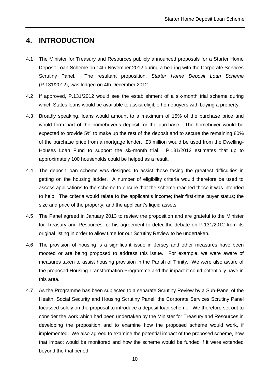## <span id="page-13-0"></span>**4. INTRODUCTION**

- 4.1 The Minister for Treasury and Resources publicly announced proposals for a Starter Home Deposit Loan Scheme on 14th November 2012 during a hearing with the Corporate Services Scrutiny Panel. The resultant proposition, *Starter Home Deposit Loan Scheme* (P.131/2012), was lodged on 4th December 2012.
- 4.2 If approved, P.131/2012 would see the establishment of a six-month trial scheme during which States loans would be available to assist eligible homebuyers with buying a property.
- 4.3 Broadly speaking, loans would amount to a maximum of 15% of the purchase price and would form part of the homebuyer's deposit for the purchase. The homebuyer would be expected to provide 5% to make up the rest of the deposit and to secure the remaining 80% of the purchase price from a mortgage lender. £3 million would be used from the Dwelling-Houses Loan Fund to support the six-month trial. P.131/2012 estimates that up to approximately 100 households could be helped as a result.
- 4.4 The deposit loan scheme was designed to assist those facing the greatest difficulties in getting on the housing ladder. A number of eligibility criteria would therefore be used to assess applications to the scheme to ensure that the scheme reached those it was intended to help. The criteria would relate to the applicant's income; their first-time buyer status; the size and price of the property; and the applicant's liquid assets.
- 4.5 The Panel agreed in January 2013 to review the proposition and are grateful to the Minister for Treasury and Resources for his agreement to defer the debate on P.131/2012 from its original listing in order to allow time for our Scrutiny Review to be undertaken.
- 4.6 The provision of housing is a significant issue in Jersey and other measures have been mooted or are being proposed to address this issue. For example, we were aware of measures taken to assist housing provision in the Parish of Trinity. We were also aware of the proposed Housing Transformation Programme and the impact it could potentially have in this area.
- 4.7 As the Programme has been subjected to a separate Scrutiny Review by a Sub-Panel of the Health, Social Security and Housing Scrutiny Panel, the Corporate Services Scrutiny Panel focussed solely on the proposal to introduce a deposit loan scheme. We therefore set out to consider the work which had been undertaken by the Minister for Treasury and Resources in developing the proposition and to examine how the proposed scheme would work, if implemented. We also agreed to examine the potential impact of the proposed scheme, how that impact would be monitored and how the scheme would be funded if it were extended beyond the trial period.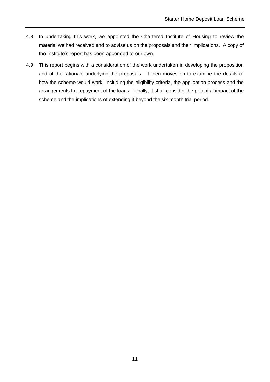- 4.8 In undertaking this work, we appointed the Chartered Institute of Housing to review the material we had received and to advise us on the proposals and their implications. A copy of the Institute's report has been appended to our own.
- 4.9 This report begins with a consideration of the work undertaken in developing the proposition and of the rationale underlying the proposals. It then moves on to examine the details of how the scheme would work; including the eligibility criteria, the application process and the arrangements for repayment of the loans. Finally, it shall consider the potential impact of the scheme and the implications of extending it beyond the six-month trial period.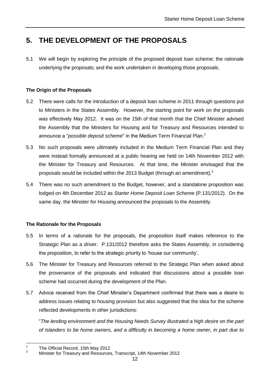## <span id="page-15-0"></span>**5. THE DEVELOPMENT OF THE PROPOSALS**

5.1 We will begin by exploring the principle of the proposed deposit loan scheme; the rationale underlying the proposals; and the work undertaken in developing those proposals.

#### **The Origin of the Proposals**

- 5.2 There were calls for the introduction of a deposit loan scheme in 2011 through questions put to Ministers in the States Assembly. However, the starting point for work on the proposals was effectively May 2012. It was on the 15th of that month that the Chief Minister advised the Assembly that the Ministers for Housing and for Treasury and Resources intended to announce a "*possible deposit scheme*" in the Medium Term Financial Plan.<sup>1</sup>
- 5.3 No such proposals were ultimately included in the Medium Term Financial Plan and they were instead formally announced at a public hearing we held on 14th November 2012 with the Minister for Treasury and Resources. At that time, the Minister envisaged that the proposals would be included within the 2013 Budget (through an amendment).<sup>2</sup>
- 5.4 There was no such amendment to the Budget, however, and a standalone proposition was lodged on 4th December 2012 as *Starter Home Deposit Loan Scheme* (P.131/2012). On the same day, the Minister for Housing announced the proposals to the Assembly.

#### **The Rationale for the Proposals**

- 5.5 In terms of a rationale for the proposals, the proposition itself makes reference to the Strategic Plan as a driver. P.131/2012 therefore asks the States Assembly, in considering the proposition, to refer to the strategic priority to 'house our community'.
- 5.6 The Minister for Treasury and Resources referred to the Strategic Plan when asked about the provenance of the proposals and indicated that discussions about a possible loan scheme had occurred during the development of the Plan.
- 5.7 Advice received from the Chief Minister's Department confirmed that there was a desire to address issues relating to housing provision but also suggested that the idea for the scheme reflected developments in other jurisdictions:

"*The lending environment and the Housing Needs Survey illustrated a high desire on the part of Islanders to be home owners, and a difficulty in becoming a home owner, in part due to* 

 $\frac{1}{1}$ The Official Record, 15th May 2012

<sup>&</sup>lt;sup>2</sup> Minister for Treasury and Resources, Transcript, 14th November 2012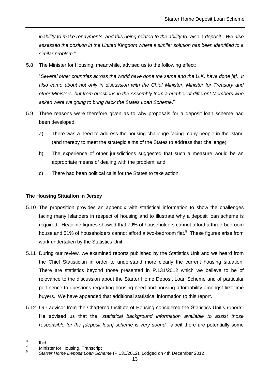*inability to make repayments, and this being related to the ability to raise a deposit. We also assessed the position in the United Kingdom where a similar solution has been identified to a similar problem*."<sup>3</sup>

5.8 The Minister for Housing, meanwhile, advised us to the following effect:

"*Several other countries across the world have done the same and the U.K. have done [it]. It also came about not only in discussion with the Chief Minister, Minister for Treasury and other Ministers, but from questions in the Assembly from a number of different Members who asked were we going to bring back the States Loan Scheme*." 4

- 5.9 Three reasons were therefore given as to why proposals for a deposit loan scheme had been developed.
	- a) There was a need to address the housing challenge facing many people in the Island (and thereby to meet the strategic aims of the States to address that challenge);
	- b) The experience of other jurisdictions suggested that such a measure would be an appropriate means of dealing with the problem; and
	- c) There had been political calls for the States to take action.

#### **The Housing Situation in Jersey**

- 5.10 The proposition provides an appendix with statistical information to show the challenges facing many Islanders in respect of housing and to illustrate why a deposit loan scheme is required. Headline figures showed that 79% of householders cannot afford a three-bedroom house and 51% of householders cannot afford a two-bedroom flat.<sup>5</sup> These figures arise from work undertaken by the Statistics Unit.
- 5.11 During our review, we examined reports published by the Statistics Unit and we heard from the Chief Statistician in order to understand more clearly the current housing situation. There are statistics beyond those presented in P.131/2012 which we believe to be of relevance to the discussion about the Starter Home Deposit Loan Scheme and of particular pertinence to questions regarding housing need and housing affordability amongst first-time buyers. We have appended that additional statistical information to this report.
- 5.12 Our advisor from the Chartered Institute of Housing considered the Statistics Unit's reports. He advised us that the "*statistical background information available to assist those responsible for the [deposit loan] scheme is very sound*", albeit there are potentially some

 3 Ibid

<sup>4</sup> Minister for Housing, Transcript

<sup>5</sup> *Starter Home Deposit Loan Scheme* (P.131/2012), Lodged on 4th December 2012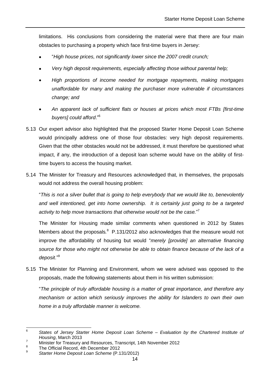limitations. His conclusions from considering the material were that there are four main obstacles to purchasing a property which face first-time buyers in Jersey:

- "*High house prices, not significantly lower since the 2007 credit crunch;*
- *Very high deposit requirements, especially affecting those without parental help;*
- *High proportions of income needed for mortgage repayments, making mortgages unaffordable for many and making the purchaser more vulnerable if circumstances change; and*
- *An apparent lack of sufficient flats or houses at prices which most FTBs [first-time buyers] could afford*."<sup>6</sup>
- 5.13 Our expert advisor also highlighted that the proposed Starter Home Deposit Loan Scheme would principally address one of those four obstacles: very high deposit requirements. Given that the other obstacles would not be addressed, it must therefore be questioned what impact, if any, the introduction of a deposit loan scheme would have on the ability of firsttime buyers to access the housing market.
- 5.14 The Minister for Treasury and Resources acknowledged that, in themselves, the proposals would not address the overall housing problem:

"*This is not a silver bullet that is going to help everybody that we would like to, benevolently and well intentioned, get into home ownership. It is certainly just going to be a targeted activity to help move transactions that otherwise would not be the case.*" 7

The Minister for Housing made similar comments when questioned in 2012 by States Members about the proposals.<sup>8</sup> P.131/2012 also acknowledges that the measure would not improve the affordability of housing but would "*merely [provide] an alternative financing source for those who might not otherwise be able to obtain finance because of the lack of a deposit*."<sup>9</sup>

5.15 The Minister for Planning and Environment, whom we were advised was opposed to the proposals, made the following statements about them in his written submission:

"*The principle of truly affordable housing is a matter of great importance, and therefore any mechanism or action which seriously improves the ability for Islanders to own their own home in a truly affordable manner is welcome.*

 6 *States of Jersey Starter Home Deposit Loan Scheme – Evaluation by the Chartered Institute of Housing*, March 2013

<sup>&</sup>lt;sup>7</sup> Minister for Treasury and Resources, Transcript, 14th November 2012

<sup>8</sup> The Official Record, 4th December 2012

<sup>9</sup> *Starter Home Deposit Loan Scheme* (P.131/2012)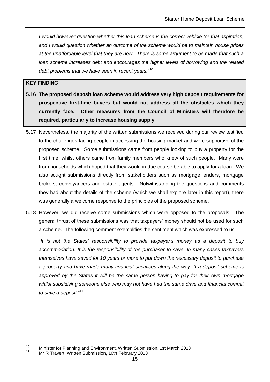*I would however question whether this loan scheme is the correct vehicle for that aspiration, and I would question whether an outcome of the scheme would be to maintain house prices at the unaffordable level that they are now. There is some argument to be made that such a loan scheme increases debt and encourages the higher levels of borrowing and the related debt problems that we have seen in recent years.*" 10

#### **KEY FINDING**

- **5.16 The proposed deposit loan scheme would address very high deposit requirements for prospective first-time buyers but would not address all the obstacles which they currently face. Other measures from the Council of Ministers will therefore be required, particularly to increase housing supply.**
- 5.17 Nevertheless, the majority of the written submissions we received during our review testified to the challenges facing people in accessing the housing market and were supportive of the proposed scheme. Some submissions came from people looking to buy a property for the first time, whilst others came from family members who knew of such people. Many were from households which hoped that they would in due course be able to apply for a loan. We also sought submissions directly from stakeholders such as mortgage lenders, mortgage brokers, conveyancers and estate agents. Notwithstanding the questions and comments they had about the details of the scheme (which we shall explore later in this report), there was generally a welcome response to the principles of the proposed scheme.
- 5.18 However, we did receive some submissions which were opposed to the proposals. The general thrust of these submissions was that taxpayers' money should not be used for such a scheme. The following comment exemplifies the sentiment which was expressed to us:

"*It is not the States' responsibility to provide taxpayer's money as a deposit to buy accommodation. It is the responsibility of the purchaser to save. In many cases taxpayers themselves have saved for 10 years or more to put down the necessary deposit to purchase a property and have made many financial sacrifices along the way. If a deposit scheme is approved by the States it will be the same person having to pay for their own mortgage whilst subsidising someone else who may not have had the same drive and financial commit to save a deposit*." 11

 $10$ <sup>10</sup> Minister for Planning and Environment, Written Submission, 1st March 2013<br><sup>11</sup> Mr. B. Travert, Written Submission, 19th Echruary 2013

Mr R Travert, Written Submission, 10th February 2013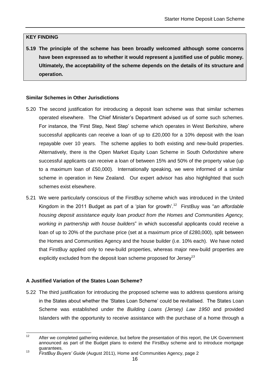#### **KEY FINDING**

**5.19 The principle of the scheme has been broadly welcomed although some concerns have been expressed as to whether it would represent a justified use of public money. Ultimately, the acceptability of the scheme depends on the details of its structure and operation.**

#### **Similar Schemes in Other Jurisdictions**

- 5.20 The second justification for introducing a deposit loan scheme was that similar schemes operated elsewhere. The Chief Minister's Department advised us of some such schemes. For instance, the 'First Step, Next Step' scheme which operates in West Berkshire, where successful applicants can receive a loan of up to £20,000 for a 10% deposit with the loan repayable over 10 years. The scheme applies to both existing and new-build properties. Alternatively, there is the Open Market Equity Loan Scheme in South Oxfordshire where successful applicants can receive a loan of between 15% and 50% of the property value (up to a maximum loan of £50,000). Internationally speaking, we were informed of a similar scheme in operation in New Zealand. Our expert advisor has also highlighted that such schemes exist elsewhere.
- 5.21 We were particularly conscious of the FirstBuy scheme which was introduced in the United Kingdom in the 2011 Budget as part of a 'plan for growth'.<sup>12</sup> FirstBuy was "an affordable *housing deposit assistance equity loan product from the Homes and Communities Agency, working in partnership with house builders*" in which successful applicants could receive a loan of up to 20% of the purchase price (set at a maximum price of £280,000), split between the Homes and Communities Agency and the house builder (i.e. 10% each). We have noted that FirstBuy applied only to new-build properties, whereas major new-build properties are explicitly excluded from the deposit loan scheme proposed for Jersey<sup>13</sup>

#### **A Justified Variation of the States Loan Scheme?**

5.22 The third justification for introducing the proposed scheme was to address questions arising in the States about whether the 'States Loan Scheme' could be revitalised. The States Loan Scheme was established under the *Building Loans (Jersey) Law 1950* and provided Islanders with the opportunity to receive assistance with the purchase of a home through a

 $12$ After we completed gathering evidence, but before the presentation of this report, the UK Government announced as part of the Budget plans to extend the FirstBuy scheme and to introduce mortgage guarantees.

<sup>13</sup> *FirstBuy Buyers' Guide* (August 2011), Home and Communities Agency, page 2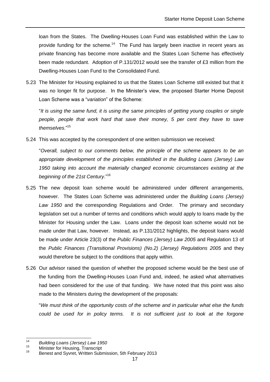loan from the States. The Dwelling-Houses Loan Fund was established within the Law to provide funding for the scheme.<sup>14</sup> The Fund has largely been inactive in recent years as private financing has become more available and the States Loan Scheme has effectively been made redundant. Adoption of P.131/2012 would see the transfer of £3 million from the Dwelling-Houses Loan Fund to the Consolidated Fund.

5.23 The Minister for Housing explained to us that the States Loan Scheme still existed but that it was no longer fit for purpose. In the Minister's view, the proposed Starter Home Deposit Loan Scheme was a "*variation*" of the Scheme:

"*It is using the same fund, it is using the same principles of getting young couples or single people, people that work hard that save their money, 5 per cent they have to save themselves*." 15

5.24 This was accepted by the correspondent of one written submission we received:

"*Overall, subject to our comments below, the principle of the scheme appears to be an appropriate development of the principles established in the Building Loans (Jersey) Law 1950 taking into account the materially changed economic circumstances existing at the beginning of the 21st Century*."<sup>16</sup>

- 5.25 The new deposit loan scheme would be administered under different arrangements, however. The States Loan Scheme was administered under the *Building Loans (Jersey) Law 1950* and the corresponding Regulations and Order. The primary and secondary legislation set out a number of terms and conditions which would apply to loans made by the Minister for Housing under the Law. Loans under the deposit loan scheme would not be made under that Law, however. Instead, as P.131/2012 highlights, the deposit loans would be made under Article 23(3) of the *Public Finances (Jersey) Law 2005* and Regulation 13 of the *Public Finances (Transitional Provisions) (No.2) (Jersey) Regulations 2005* and they would therefore be subject to the conditions that apply within.
- 5.26 Our advisor raised the question of whether the proposed scheme would be the best use of the funding from the Dwelling-Houses Loan Fund and, indeed, he asked what alternatives had been considered for the use of that funding. We have noted that this point was also made to the Ministers during the development of the proposals:

"*We must think of the opportunity costs of the scheme and in particular what else the funds could be used for in policy terms. It is not sufficient just to look at the forgone* 

 $14$ <sup>14</sup> *Building Loans (Jersey) Law 1950*

<sup>&</sup>lt;sup>15</sup> Minister for Housing, Transcript<br><sup>16</sup> Benest and Surret Written Sub-

<sup>16</sup> Benest and Syvret, Written Submission, 5th February 2013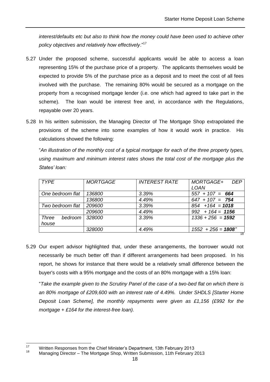*interest/defaults etc but also to think how the money could have been used to achieve other policy objectives and relatively how effectively*." 17

- 5.27 Under the proposed scheme, successful applicants would be able to access a loan representing 15% of the purchase price of a property. The applicants themselves would be expected to provide 5% of the purchase price as a deposit and to meet the cost of all fees involved with the purchase. The remaining 80% would be secured as a mortgage on the property from a recognised mortgage lender (i.e. one which had agreed to take part in the scheme). The loan would be interest free and, in accordance with the Regulations, repayable over 20 years.
- 5.28 In his written submission, the Managing Director of The Mortgage Shop extrapolated the provisions of the scheme into some examples of how it would work in practice. His calculations showed the following:

"*An illustration of the monthly cost of a typical mortgage for each of the three property types, using maximum and minimum interest rates shows the total cost of the mortgage plus the States' loan:*

| <b>TYPE</b>      | <b>MORTGAGE</b> | <b>INTEREST RATE</b> | <b>DEP</b><br>MORTGAGE+   |
|------------------|-----------------|----------------------|---------------------------|
|                  |                 |                      | <b>LOAN</b>               |
| One bedroom flat | 136800          | 3.39%                | $557 + 107 = 664$         |
|                  | 136800          | 4.49%                | $647 + 107 = 754$         |
| Two bedroom flat | 209600          | 3.39%                | $854 + 164 = 1018$        |
|                  | 209600          | 4.49%                | $992 + 164 = 1156$        |
| Three<br>bedroom | 328000          | 3.39%                | $1336 + 256 = 1592$       |
| house            |                 |                      |                           |
|                  | 328000          | 4.49%                | $1552 + 256 = 1808$<br>18 |

5.29 Our expert advisor highlighted that, under these arrangements, the borrower would not necessarily be much better off than if different arrangements had been proposed. In his report, he shows for instance that there would be a relatively small difference between the buyer's costs with a 95% mortgage and the costs of an 80% mortgage with a 15% loan:

"*Take the example given to the Scrutiny Panel of the case of a two-bed flat on which there is an 80% mortgage of £209,600 with an interest rate of 4.49%. Under SHDLS [Starter Home Deposit Loan Scheme], the monthly repayments were given as £1,156 (£992 for the mortgage + £164 for the interest-free loan).* 

 $17$ <sup>17</sup> Written Responses from the Chief Minister's Department, 13th February 2013<br><sup>18</sup> Managing Disector - The Mertgage Shap Written Submission, 11th February 1

<sup>18</sup> Managing Director – The Mortgage Shop, Written Submission, 11th February 2013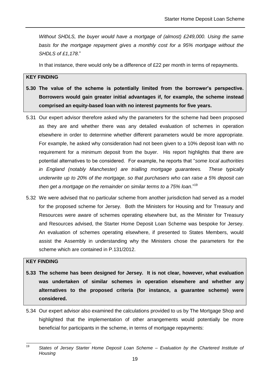*Without SHDLS, the buyer would have a mortgage of (almost) £249,000. Using the same basis for the mortgage repayment gives a monthly cost for a 95% mortgage without the SHDLS of £1,178*."

In that instance, there would only be a difference of £22 per month in terms of repayments.

#### **KEY FINDING**

- **5.30 The value of the scheme is potentially limited from the borrower's perspective. Borrowers would gain greater initial advantages if, for example, the scheme instead comprised an equity-based loan with no interest payments for five years.**
- 5.31 Our expert advisor therefore asked why the parameters for the scheme had been proposed as they are and whether there was any detailed evaluation of schemes in operation elsewhere in order to determine whether different parameters would be more appropriate. For example, he asked why consideration had not been given to a 10% deposit loan with no requirement for a minimum deposit from the buyer. His report highlights that there are potential alternatives to be considered. For example, he reports that "*some local authorities in England (notably Manchester) are trialling mortgage guarantees. These typically underwrite up to 20% of the mortgage, so that purchasers who can raise a 5% deposit can then get a mortgage on the remainder on similar terms to a 75% loan*."<sup>19</sup>
- 5.32 We were advised that no particular scheme from another jurisdiction had served as a model for the proposed scheme for Jersey. Both the Ministers for Housing and for Treasury and Resources were aware of schemes operating elsewhere but, as the Minister for Treasury and Resources advised, the Starter Home Deposit Loan Scheme was bespoke for Jersey. An evaluation of schemes operating elsewhere, if presented to States Members, would assist the Assembly in understanding why the Ministers chose the parameters for the scheme which are contained in P.131/2012.

#### **KEY FINDING**

- **5.33 The scheme has been designed for Jersey. It is not clear, however, what evaluation was undertaken of similar schemes in operation elsewhere and whether any alternatives to the proposed criteria (for instance, a guarantee scheme) were considered.**
- 5.34 Our expert advisor also examined the calculations provided to us by The Mortgage Shop and highlighted that the implementation of other arrangements would potentially be more beneficial for participants in the scheme, in terms of mortgage repayments:

<sup>19</sup> <sup>19</sup> *States of Jersey Starter Home Deposit Loan Scheme – Evaluation by the Chartered Institute of Housing*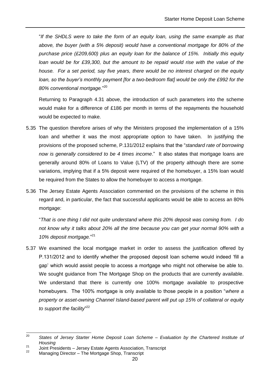"*If the SHDLS were to take the form of an equity loan, using the same example as that above, the buyer (with a 5% deposit) would have a conventional mortgage for 80% of the purchase price (£209,600) plus an equity loan for the balance of 15%. Initially this equity loan would be for £39,300, but the amount to be repaid would rise with the value of the house. For a set period, say five years, there would be no interest charged on the equity loan, so the buyer's monthly payment [for a two-bedroom flat] would be only the £992 for the 80% conventional mortgage.*" 20

Returning to Paragraph 4.31 above, the introduction of such parameters into the scheme would make for a difference of £186 per month in terms of the repayments the household would be expected to make.

- 5.35 The question therefore arises of why the Ministers proposed the implementation of a 15% loan and whether it was the most appropriate option to have taken. In justifying the provisions of the proposed scheme, P.131/2012 explains that the "*standard rate of borrowing now is generally considered to be 4 times income*." It also states that mortgage loans are generally around 80% of Loans to Value (LTV) of the property although there are some variations, implying that if a 5% deposit were required of the homebuyer, a 15% loan would be required from the States to allow the homebuyer to access a mortgage.
- 5.36 The Jersey Estate Agents Association commented on the provisions of the scheme in this regard and, in particular, the fact that successful applicants would be able to access an 80% mortgage:

"*That is one thing I did not quite understand where this 20% deposit was coming from. I do not know why it talks about 20% all the time because you can get your normal 90% with a 10% deposit mortgage.*" 21

5.37 We examined the local mortgage market in order to assess the justification offered by P.131/2012 and to identify whether the proposed deposit loan scheme would indeed 'fill a gap' which would assist people to access a mortgage who might not otherwise be able to. We sought guidance from The Mortgage Shop on the products that are currently available. We understand that there is currently one 100% mortgage available to prospective homebuyers. The 100% mortgage is only available to those people in a position "*where a property or asset-owning Channel Island-based parent will put up 15% of collateral or equity to support the facility*" 22

<sup>20</sup> <sup>20</sup> *States of Jersey Starter Home Deposit Loan Scheme – Evaluation by the Chartered Institute of Housing*

<sup>&</sup>lt;sup>21</sup> Joint Presidents – Jersey Estate Agents Association, Transcript<br><sup>22</sup> Menseing Disorter, The Mertesco Shap Transcript

Managing Director – The Mortgage Shop, Transcript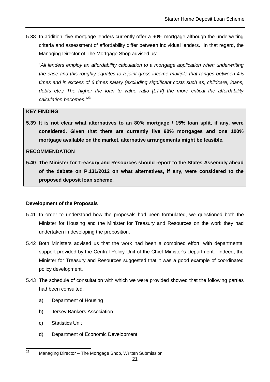5.38 In addition, five mortgage lenders currently offer a 90% mortgage although the underwriting criteria and assessment of affordability differ between individual lenders. In that regard, the Managing Director of The Mortgage Shop advised us:

"*All lenders employ an affordability calculation to a mortgage application when underwriting the case and this roughly equates to a joint gross income multiple that ranges between 4.5 times and in excess of 6 times salary (excluding significant costs such as; childcare, loans, debts etc.) The higher the loan to value ratio [LTV] the more critical the affordability calculation becomes*." 23

#### **KEY FINDING**

**5.39 It is not clear what alternatives to an 80% mortgage / 15% loan split, if any, were considered. Given that there are currently five 90% mortgages and one 100% mortgage available on the market, alternative arrangements might be feasible.**

#### **RECOMMENDATION**

**5.40 The Minister for Treasury and Resources should report to the States Assembly ahead of the debate on P.131/2012 on what alternatives, if any, were considered to the proposed deposit loan scheme.**

#### **Development of the Proposals**

- 5.41 In order to understand how the proposals had been formulated, we questioned both the Minister for Housing and the Minister for Treasury and Resources on the work they had undertaken in developing the proposition.
- 5.42 Both Ministers advised us that the work had been a combined effort, with departmental support provided by the Central Policy Unit of the Chief Minister's Department. Indeed, the Minister for Treasury and Resources suggested that it was a good example of coordinated policy development.
- 5.43 The schedule of consultation with which we were provided showed that the following parties had been consulted.
	- a) Department of Housing
	- b) Jersey Bankers Association
	- c) Statistics Unit
	- d) Department of Economic Development

<sup>23</sup> Managing Director – The Mortgage Shop, Written Submission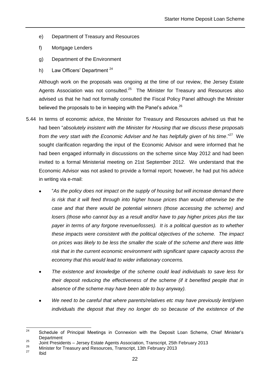- e) Department of Treasury and Resources
- f) Mortgage Lenders
- g) Department of the Environment
- h) Law Officers' Department <sup>24</sup>

Although work on the proposals was ongoing at the time of our review, the Jersey Estate Agents Association was not consulted.<sup>25</sup> The Minister for Treasury and Resources also advised us that he had not formally consulted the Fiscal Policy Panel although the Minister believed the proposals to be in keeping with the Panel's advice.<sup>26</sup>

- 5.44 In terms of economic advice, the Minister for Treasury and Resources advised us that he had been "*absolutely insistent with the Minister for Housing that we discuss these proposals*  from the very start with the Economic Adviser and he has helpfully given of his time."<sup>27</sup> We sought clarification regarding the input of the Economic Advisor and were informed that he had been engaged informally in discussions on the scheme since May 2012 and had been invited to a formal Ministerial meeting on 21st September 2012. We understand that the Economic Advisor was not asked to provide a formal report; however, he had put his advice in writing via e-mail:
	- "*As the policy does not impact on the supply of housing but will increase demand there is risk that it will feed through into higher house prices than would otherwise be the case and that there would be potential winners (those accessing the scheme) and losers (those who cannot buy as a result and/or have to pay higher prices plus the tax payer in terms of any forgone revenue/losses). It is a political question as to whether these impacts were consistent with the political objectives of the scheme. The impact on prices was likely to be less the smaller the scale of the scheme and there was little risk that in the current economic environment with significant spare capacity across the economy that this would lead to wider inflationary concerns.*
	- *The existence and knowledge of the scheme could lead individuals to save less for their deposit reducing the effectiveness of the scheme (if it benefited people that in absence of the scheme may have been able to buy anyway).*
	- *We need to be careful that where parents/relatives etc may have previously lent/given individuals the deposit that they no longer do so because of the existence of the*

**Ibid** 

 $24$ Schedule of Principal Meetings in Connexion with the Deposit Loan Scheme, Chief Minister's **Department** 

<sup>25</sup> Joint Presidents – Jersey Estate Agents Association, Transcript, 25th February 2013

<sup>&</sup>lt;sup>26</sup> Minister for Treasury and Resources, Transcript, 13th February 2013<br><sup>27</sup> Libid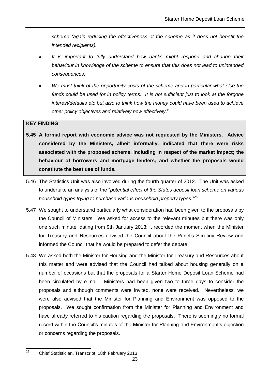*scheme (again reducing the effectiveness of the scheme as it does not benefit the intended recipients).*

- *It is important to fully understand how banks might respond and change their behaviour in knowledge of the scheme to ensure that this does not lead to unintended consequences.*
- *We must think of the opportunity costs of the scheme and in particular what else the funds could be used for in policy terms. It is not sufficient just to look at the forgone interest/defaults etc but also to think how the money could have been used to achieve other policy objectives and relatively how effectively*."

#### **KEY FINDING**

- **5.45 A formal report with economic advice was not requested by the Ministers. Advice considered by the Ministers, albeit informally, indicated that there were risks associated with the proposed scheme, including in respect of the market impact; the behaviour of borrowers and mortgage lenders; and whether the proposals would constitute the best use of funds.**
- 5.46 The Statistics Unit was also involved during the fourth quarter of 2012. The Unit was asked to undertake an analysis of the "*potential effect of the States deposit loan scheme on various household types trying to purchase various household property types.*" 28
- 5.47 We sought to understand particularly what consideration had been given to the proposals by the Council of Ministers. We asked for access to the relevant minutes but there was only one such minute, dating from 9th January 2013; it recorded the moment when the Minister for Treasury and Resources advised the Council about the Panel's Scrutiny Review and informed the Council that he would be prepared to defer the debate.
- 5.48 We asked both the Minister for Housing and the Minister for Treasury and Resources about this matter and were advised that the Council had talked about housing generally on a number of occasions but that the proposals for a Starter Home Deposit Loan Scheme had been circulated by e-mail. Ministers had been given two to three days to consider the proposals and although comments were invited, none were received. Nevertheless, we were also advised that the Minister for Planning and Environment was opposed to the proposals. We sought confirmation from the Minister for Planning and Environment and have already referred to his caution regarding the proposals. There is seemingly no formal record within the Council's minutes of the Minister for Planning and Environment's objection or concerns regarding the proposals.

<sup>28</sup> <sup>28</sup> Chief Statistician, Transcript, 18th February 2013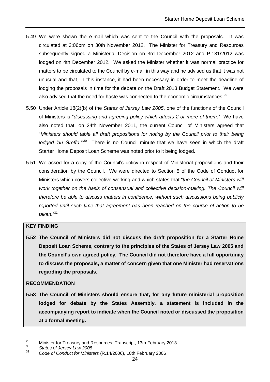- 5.49 We were shown the e-mail which was sent to the Council with the proposals. It was circulated at 3:06pm on 30th November 2012. The Minister for Treasury and Resources subsequently signed a Ministerial Decision on 3rd December 2012 and P.131/2012 was lodged on 4th December 2012. We asked the Minister whether it was normal practice for matters to be circulated to the Council by e-mail in this way and he advised us that it was not unusual and that, in this instance, it had been necessary in order to meet the deadline of lodging the proposals in time for the debate on the Draft 2013 Budget Statement. We were also advised that the need for haste was connected to the economic circumstances.<sup>29</sup>
- 5.50 Under Article 18(2)(b) of the *States of Jersey Law 2005*, one of the functions of the Council of Ministers is "*discussing and agreeing policy which affects 2 or more of them*." We have also noted that, on 24th November 2011, the current Council of Ministers agreed that "*Ministers should table all draft propositions for noting by the Council prior to their being*  lodged 'au Greffe."<sup>30</sup> There is no Council minute that we have seen in which the draft Starter Home Deposit Loan Scheme was noted prior to it being lodged.
- 5.51 We asked for a copy of the Council's policy in respect of Ministerial propositions and their consideration by the Council. We were directed to Section 5 of the Code of Conduct for Ministers which covers collective working and which states that "*the Council of Ministers will*  work together on the basis of consensual and collective decision-making. The Council will *therefore be able to discuss matters in confidence, without such discussions being publicly reported until such time that agreement has been reached on the course of action to be taken.*" 31

#### **KEY FINDING**

**5.52 The Council of Ministers did not discuss the draft proposition for a Starter Home Deposit Loan Scheme, contrary to the principles of the States of Jersey Law 2005 and the Council's own agreed policy. The Council did not therefore have a full opportunity to discuss the proposals, a matter of concern given that one Minister had reservations regarding the proposals.** 

#### **RECOMMENDATION**

**5.53 The Council of Ministers should ensure that, for any future ministerial proposition lodged for debate by the States Assembly, a statement is included in the accompanying report to indicate when the Council noted or discussed the proposition at a formal meeting.**

<sup>29</sup> <sup>29</sup> Minister for Treasury and Resources, Transcript, 13th February 2013

<sup>30</sup> *States of Jersey Law 2005*

<sup>31</sup> *Code of Conduct for Ministers* (R.14/2006), 10th February 2006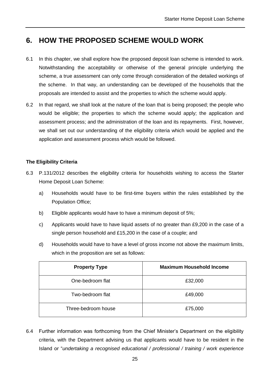## <span id="page-28-0"></span>**6. HOW THE PROPOSED SCHEME WOULD WORK**

- 6.1 In this chapter, we shall explore how the proposed deposit loan scheme is intended to work. Notwithstanding the acceptability or otherwise of the general principle underlying the scheme, a true assessment can only come through consideration of the detailed workings of the scheme. In that way, an understanding can be developed of the households that the proposals are intended to assist and the properties to which the scheme would apply.
- 6.2 In that regard, we shall look at the nature of the loan that is being proposed; the people who would be eligible; the properties to which the scheme would apply; the application and assessment process; and the administration of the loan and its repayments. First, however, we shall set out our understanding of the eligibility criteria which would be applied and the application and assessment process which would be followed.

#### **The Eligibility Criteria**

- 6.3 P.131/2012 describes the eligibility criteria for households wishing to access the Starter Home Deposit Loan Scheme:
	- a) Households would have to be first-time buyers within the rules established by the Population Office;
	- b) Eligible applicants would have to have a minimum deposit of 5%;
	- c) Applicants would have to have liquid assets of no greater than £9,200 in the case of a single person household and £15,200 in the case of a couple; and
	- d) Households would have to have a level of gross income not above the maximum limits, which in the proposition are set as follows:

| <b>Property Type</b> | <b>Maximum Household Income</b> |
|----------------------|---------------------------------|
| One-bedroom flat     | £32,000                         |
| Two-bedroom flat     | £49,000                         |
| Three-bedroom house  | £75,000                         |

6.4 Further information was forthcoming from the Chief Minister's Department on the eligibility criteria, with the Department advising us that applicants would have to be resident in the Island or "*undertaking a recognised educational / professional / training / work experience*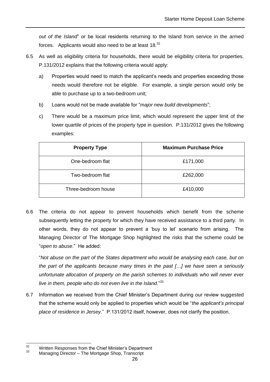*out of the Island*" or be local residents returning to the Island from service in the armed forces. Applicants would also need to be at least  $18.^{32}$ 

- 6.5 As well as eligibility criteria for households, there would be eligibility criteria for properties. P.131/2012 explains that the following criteria would apply:
	- a) Properties would need to match the applicant's needs and properties exceeding those needs would therefore not be eligible. For example, a single person would only be able to purchase up to a two-bedroom unit;
	- b) Loans would not be made available for "*major new build developments*";
	- c) There would be a maximum price limit, which would represent the upper limit of the lower quartile of prices of the property type in question. P.131/2012 gives the following examples:

| <b>Property Type</b> | <b>Maximum Purchase Price</b> |
|----------------------|-------------------------------|
| One-bedroom flat     | £171,000                      |
| Two-bedroom flat     | £262,000                      |
| Three-bedroom house  | £410,000                      |

6.6 The criteria do not appear to prevent households which benefit from the scheme subsequently letting the property for which they have received assistance to a third party. In other words, they do not appear to prevent a 'buy to let' scenario from arising. The Managing Director of The Mortgage Shop highlighted the risks that the scheme could be "*open to abuse*." He added:

"*Not abuse on the part of the States department who would be analysing each case, but on the part of the applicants because many times in the past […] we have seen a seriously unfortunate allocation of property on the parish schemes to individuals who will never ever live in them, people who do not even live in the Island.*" 33

6.7 Information we received from the Chief Minister's Department during our review suggested that the scheme would only be applied to properties which would be "*the applicant's principal place of residence in Jersey.*" P.131/2012 itself, however, does not clarify the position.

<sup>32</sup>  $\frac{32}{33}$  Written Responses from the Chief Minister's Department<br> $\frac{33}{33}$  Mensging Director The Mertagge Shap Transmitt

Managing Director – The Mortgage Shop, Transcript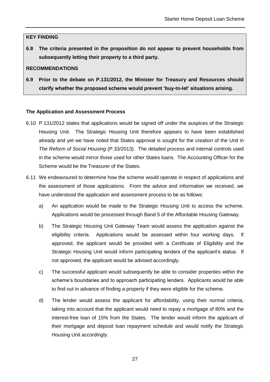#### **KEY FINDING**

**6.8 The criteria presented in the proposition do not appear to prevent households from subsequently letting their property to a third party.**

#### **RECOMMENDATIONS**

**6.9 Prior to the debate on P.131/2012, the Minister for Treasury and Resources should clarify whether the proposed scheme would prevent 'buy-to-let' situations arising.**

#### **The Application and Assessment Process**

- 6.10 P.131/2012 states that applications would be signed off under the auspices of the Strategic Housing Unit. The Strategic Housing Unit therefore appears to have been established already and yet we have noted that States approval is sought for the creation of the Unit in *The Reform of Social Housing* (P.33/2013). The detailed process and internal controls used in the scheme would mirror those used for other States loans. The Accounting Officer for the Scheme would be the Treasurer of the States.
- 6.11 We endeavoured to determine how the scheme would operate in respect of applications and the assessment of those applications. From the advice and information we received, we have understood the application and assessment process to be as follows:
	- a) An application would be made to the Strategic Housing Unit to access the scheme. Applications would be processed through Band 5 of the Affordable Housing Gateway.
	- b) The Strategic Housing Unit Gateway Team would assess the application against the eligibility criteria. Applications would be assessed within four working days. If approved, the applicant would be provided with a Certificate of Eligibility and the Strategic Housing Unit would inform participating lenders of the applicant's status. If not approved, the applicant would be advised accordingly.
	- c) The successful applicant would subsequently be able to consider properties within the scheme's boundaries and to approach participating lenders. Applicants would be able to find out in advance of finding a property if they were eligible for the scheme.
	- d) The lender would assess the applicant for affordability, using their normal criteria, taking into account that the applicant would need to repay a mortgage of 80% and the interest-free loan of 15% from the States. The lender would inform the applicant of their mortgage and deposit loan repayment schedule and would notify the Strategic Housing Unit accordingly.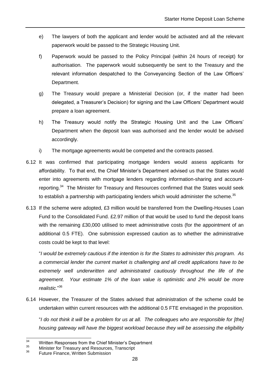- e) The lawyers of both the applicant and lender would be activated and all the relevant paperwork would be passed to the Strategic Housing Unit.
- f) Paperwork would be passed to the Policy Principal (within 24 hours of receipt) for authorisation. The paperwork would subsequently be sent to the Treasury and the relevant information despatched to the Conveyancing Section of the Law Officers' Department.
- g) The Treasury would prepare a Ministerial Decision (or, if the matter had been delegated, a Treasurer's Decision) for signing and the Law Officers' Department would prepare a loan agreement.
- h) The Treasury would notify the Strategic Housing Unit and the Law Officers' Department when the deposit loan was authorised and the lender would be advised accordingly.
- i) The mortgage agreements would be competed and the contracts passed.
- 6.12 It was confirmed that participating mortgage lenders would assess applicants for affordability. To that end, the Chief Minister's Department advised us that the States would enter into agreements with mortgage lenders regarding information-sharing and accountreporting.<sup>34</sup> The Minister for Treasury and Resources confirmed that the States would seek to establish a partnership with participating lenders which would administer the scheme. $35$
- 6.13 If the scheme were adopted, £3 million would be transferred from the Dwelling-Houses Loan Fund to the Consolidated Fund. £2.97 million of that would be used to fund the deposit loans with the remaining £30,000 utilised to meet administrative costs (for the appointment of an additional 0.5 FTE). One submission expressed caution as to whether the administrative costs could be kept to that level:

"*I would be extremely cautious if the intention is for the States to administer this program. As a commercial lender the current market is challenging and all credit applications have to be extremely well underwritten and administrated cautiously throughout the life of the agreement. Your estimate 1% of the loan value is optimistic and 2% would be more realistic*." 36

6.14 However, the Treasurer of the States advised that administration of the scheme could be undertaken within current resources with the additional 0.5 FTE envisaged in the proposition.

"*I do not think it will be a problem for us at all. The colleagues who are responsible for [the] housing gateway will have the biggest workload because they will be assessing the eligibility* 

<sup>34</sup>  $\frac{34}{35}$  Written Responses from the Chief Minister's Department

 $\frac{35}{36}$  Minister for Treasury and Resources, Transcript  $\frac{36}{36}$  Future Finance Written Submission

Future Finance, Written Submission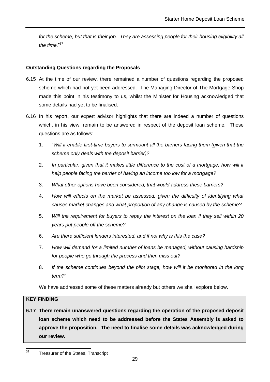*for the scheme, but that is their job. They are assessing people for their housing eligibility all the time.*" 37

#### **Outstanding Questions regarding the Proposals**

- 6.15 At the time of our review, there remained a number of questions regarding the proposed scheme which had not yet been addressed. The Managing Director of The Mortgage Shop made this point in his testimony to us, whilst the Minister for Housing acknowledged that some details had yet to be finalised.
- 6.16 In his report, our expert advisor highlights that there are indeed a number of questions which, in his view, remain to be answered in respect of the deposit loan scheme. Those questions are as follows:
	- 1. "*Will it enable first-time buyers to surmount all the barriers facing them (given that the scheme only deals with the deposit barrier)?*
	- 2. *In particular, given that it makes little difference to the cost of a mortgage, how will it help people facing the barrier of having an income too low for a mortgage?*
	- 3. *What other options have been considered, that would address these barriers?*
	- 4. *How will effects on the market be assessed, given the difficulty of identifying what causes market changes and what proportion of any change is caused by the scheme?*
	- 5. *Will the requirement for buyers to repay the interest on the loan if they sell within 20 years put people off the scheme?*
	- 6. *Are there sufficient lenders interested, and if not why is this the case?*
	- 7. *How will demand for a limited number of loans be managed, without causing hardship for people who go through the process and then miss out?*
	- 8. *If the scheme continues beyond the pilot stage, how will it be monitored in the long term?*"

We have addressed some of these matters already but others we shall explore below.

#### **KEY FINDING**

**6.17 There remain unanswered questions regarding the operation of the proposed deposit loan scheme which need to be addressed before the States Assembly is asked to approve the proposition. The need to finalise some details was acknowledged during our review.**

<sup>37</sup> Treasurer of the States, Transcript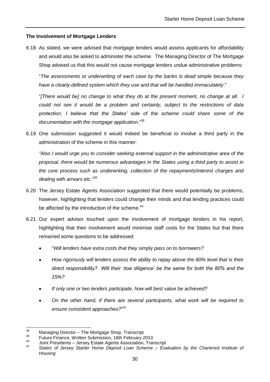#### **The Involvement of Mortgage Lenders**

6.18 As stated, we were advised that mortgage lenders would assess applicants for affordability and would also be asked to administer the scheme. The Managing Director of The Mortgage Shop advised us that this would not cause mortgage lenders undue administrative problems:

"*The assessments or underwriting of each case by the banks is dead simple because they have a clearly-defined system which they use and that will be handled immaculately*."

"*[There would be] no change to what they do at the present moment, no change at all. I could not see it would be a problem and certainly, subject to the restrictions of data protection, I believe that the States' side of the scheme could share some of the documentation with the mortgage application.*" 38

6.19 One submission suggested it would indeed be beneficial to involve a third party in the administration of the scheme in this manner:

*"Also I would urge you to consider seeking external support in the administrative area of the proposal, there would be numerous advantages in the States using a third party to assist in the core process such as underwriting, collection of the repayments/interest charges and dealing with arrears etc*." 39

- 6.20 The Jersey Estate Agents Association suggested that there would potentially be problems, however, highlighting that lenders could change their minds and that lending practices could be affected by the introduction of the scheme.<sup>40</sup>
- 6.21 Our expert advisor touched upon the involvement of mortgage lenders in his report, highlighting that their involvement would minimise staff costs for the States but that there remained some questions to be addressed:
	- "*Will lenders have extra costs that they simply pass on to borrowers?*
	- *How rigorously will lenders assess the ability to repay above the 80% level that is their direct responsibility? Will their 'due diligence' be the same for both the 80% and the 15%?*
	- *If only one or two lenders participate, how will best value be achieved?*
	- *On the other hand, if there are several participants, what work will be required to ensure consistent approaches?*" 41

<sup>38</sup>  $\frac{38}{39}$  Managing Director – The Mortgage Shop, Transcript  $\frac{39}{39}$  Extra Figures Cubristian A0th Eshmony C

<sup>&</sup>lt;sup>39</sup> Future Finance, Written Submission, 18th February 2013<br><sup>40</sup> Leint Presidents Largey Fetate Agents Association Tra

 $^{40}$  Joint Presidents – Jersey Estate Agents Association, Transcript<br> $^{41}$  States of Jersey Starter Jlama Denocit Jean Schame

<sup>41</sup> *States of Jersey Starter Home Deposit Loan Scheme – Evaluation by the Chartered Institute of Housing*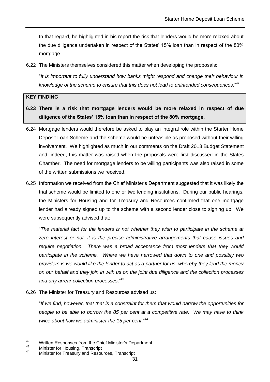In that regard, he highlighted in his report the risk that lenders would be more relaxed about the due diligence undertaken in respect of the States' 15% loan than in respect of the 80% mortgage.

6.22 The Ministers themselves considered this matter when developing the proposals:

"*It is important to fully understand how banks might respond and change their behaviour in knowledge of the scheme to ensure that this does not lead to unintended consequences.*" 42

#### **KEY FINDING**

- **6.23 There is a risk that mortgage lenders would be more relaxed in respect of due diligence of the States' 15% loan than in respect of the 80% mortgage.**
- 6.24 Mortgage lenders would therefore be asked to play an integral role within the Starter Home Deposit Loan Scheme and the scheme would be unfeasible as proposed without their willing involvement. We highlighted as much in our comments on the Draft 2013 Budget Statement and, indeed, this matter was raised when the proposals were first discussed in the States Chamber. The need for mortgage lenders to be willing participants was also raised in some of the written submissions we received.
- 6.25 Information we received from the Chief Minister's Department suggested that it was likely the trial scheme would be limited to one or two lending institutions. During our public hearings, the Ministers for Housing and for Treasury and Resources confirmed that one mortgage lender had already signed up to the scheme with a second lender close to signing up. We were subsequently advised that:

"*The material fact for the lenders is not whether they wish to participate in the scheme at zero interest or not, it is the precise administrative arrangements that cause issues and require negotiation. There was a broad acceptance from most lenders that they would participate in the scheme. Where we have narrowed that down to one and possibly two providers is we would like the lender to act as a partner for us, whereby they lend the money on our behalf and they join in with us on the joint due diligence and the collection processes and any arrear collection processes*." 43

6.26 The Minister for Treasury and Resources advised us:

"*If we find, however, that that is a constraint for them that would narrow the opportunities for people to be able to borrow the 85 per cent at a competitive rate. We may have to think twice about how we administer the 15 per cent*." 44

<sup>42</sup> <sup>42</sup> Written Responses from the Chief Minister's Department

 $^{43}$  Minister for Housing, Transcript

Minister for Treasury and Resources, Transcript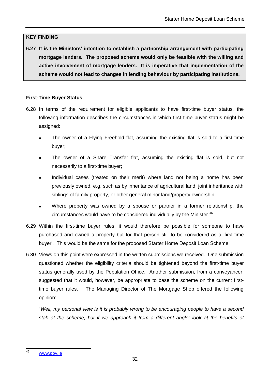#### **KEY FINDING**

**6.27 It is the Ministers' intention to establish a partnership arrangement with participating mortgage lenders. The proposed scheme would only be feasible with the willing and active involvement of mortgage lenders. It is imperative that implementation of the scheme would not lead to changes in lending behaviour by participating institutions.**

#### **First-Time Buyer Status**

- 6.28 In terms of the requirement for eligible applicants to have first-time buyer status, the following information describes the circumstances in which first time buyer status might be assigned:
	- The owner of a Flying Freehold flat, assuming the existing flat is sold to a first-time buyer;
	- The owner of a Share Transfer flat, assuming the existing flat is sold, but not necessarily to a first-time buyer;
	- Individual cases (treated on their merit) where land not being a home has been  $\bullet$ previously owned, e.g. such as by inheritance of agricultural land, joint inheritance with siblings of family property, or other general minor land/property ownership;
	- Where property was owned by a spouse or partner in a former relationship, the circumstances would have to be considered individually by the Minister. 45
- 6.29 Within the first-time buyer rules, it would therefore be possible for someone to have purchased and owned a property but for that person still to be considered as a 'first-time buyer'. This would be the same for the proposed Starter Home Deposit Loan Scheme.
- 6.30 Views on this point were expressed in the written submissions we received. One submission questioned whether the eligibility criteria should be tightened beyond the first-time buyer status generally used by the Population Office. Another submission, from a conveyancer, suggested that it would, however, be appropriate to base the scheme on the current firsttime buyer rules. The Managing Director of The Mortgage Shop offered the following opinion:

"*Well, my personal view is it is probably wrong to be encouraging people to have a second stab at the scheme, but if we approach it from a different angle: look at the benefits of* 

<sup>45</sup> [www.gov.je](http://www.gov.je/)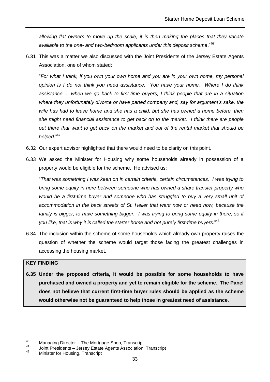*allowing flat owners to move up the scale, it is then making the places that they vacate available to the one- and two-bedroom applicants under this deposit scheme*." 46

6.31 This was a matter we also discussed with the Joint Presidents of the Jersey Estate Agents Association, one of whom stated:

"*For what I think, if you own your own home and you are in your own home, my personal opinion is I do not think you need assistance. You have your home. Where I do think assistance ... when we go back to first-time buyers, I think people that are in a situation where they unfortunately divorce or have parted company and, say for argument's sake, the wife has had to leave home and she has a child, but she has owned a home before, then she might need financial assistance to get back on to the market. I think there are people out there that want to get back on the market and out of the rental market that should be helped*." 47

- 6.32 Our expert advisor highlighted that there would need to be clarity on this point.
- 6.33 We asked the Minister for Housing why some households already in possession of a property would be eligible for the scheme. He advised us:

"*That was something I was keen on in certain criteria, certain circumstances. I was trying to bring some equity in here between someone who has owned a share transfer property who would be a first-time buyer and someone who has struggled to buy a very small unit of accommodation in the back streets of St. Helier that want now or need now, because the*  family is bigger, to have something bigger. I was trying to bring some equity in there, so if *you like, that is why it is called the starter home and not purely first-time buyers*." 48

6.34 The inclusion within the scheme of some households which already own property raises the question of whether the scheme would target those facing the greatest challenges in accessing the housing market.

#### **KEY FINDING**

**6.35 Under the proposed criteria, it would be possible for some households to have purchased and owned a property and yet to remain eligible for the scheme. The Panel does not believe that current first-time buyer rules should be applied as the scheme would otherwise not be guaranteed to help those in greatest need of assistance.**

<sup>46</sup> <sup>46</sup> Managing Director – The Mortgage Shop, Transcript<br><sup>47</sup> Light Presidents Largey Estate Agents Association

 $^{47}$  Joint Presidents – Jersey Estate Agents Association, Transcript  $^{48}$  Minister for Housing Transcript

Minister for Housing, Transcript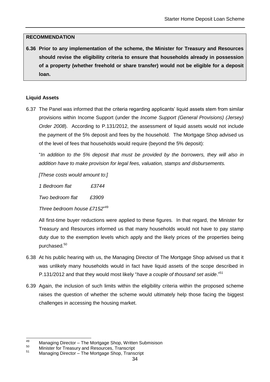#### **RECOMMENDATION**

**6.36 Prior to any implementation of the scheme, the Minister for Treasury and Resources should revise the eligibility criteria to ensure that households already in possession of a property (whether freehold or share transfer) would not be eligible for a deposit loan.**

#### **Liquid Assets**

6.37 The Panel was informed that the criteria regarding applicants' liquid assets stem from similar provisions within Income Support (under the *Income Support (General Provisions) (Jersey) Order 2008*). According to P.131/2012, the assessment of liquid assets would not include the payment of the 5% deposit and fees by the household. The Mortgage Shop advised us of the level of fees that households would require (beyond the 5% deposit):

"*In addition to the 5% deposit that must be provided by the borrowers, they will also in addition have to make provision for legal fees, valuation, stamps and disbursements.*

*[These costs would amount to:]*

*1 Bedroom flat £3744*

*Two bedroom flat £3909*

*Three bedroom house £7152*" 49

All first-time buyer reductions were applied to these figures. In that regard, the Minister for Treasury and Resources informed us that many households would not have to pay stamp duty due to the exemption levels which apply and the likely prices of the properties being purchased.<sup>50</sup>

- 6.38 At his public hearing with us, the Managing Director of The Mortgage Shop advised us that it was unlikely many households would in fact have liquid assets of the scope described in P.131/2012 and that they would most likely "*have a couple of thousand set aside*." 51
- 6.39 Again, the inclusion of such limits within the eligibility criteria within the proposed scheme raises the question of whether the scheme would ultimately help those facing the biggest challenges in accessing the housing market.

<sup>49</sup>  $^{49}$  Managing Director – The Mortgage Shop, Written Submisison

 $^{50}$  Minister for Treasury and Resources, Transcript<br> $^{51}$  Managing Director. The Martgage Shap Transcript

Managing Director – The Mortgage Shop, Transcript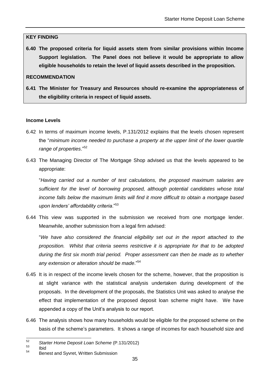#### **KEY FINDING**

**6.40 The proposed criteria for liquid assets stem from similar provisions within Income Support legislation. The Panel does not believe it would be appropriate to allow eligible households to retain the level of liquid assets described in the proposition.**

#### **RECOMMENDATION**

**6.41 The Minister for Treasury and Resources should re-examine the appropriateness of the eligibility criteria in respect of liquid assets.**

#### **Income Levels**

- 6.42 In terms of maximum income levels, P.131/2012 explains that the levels chosen represent the "*minimum income needed to purchase a property at the upper limit of the lower quartile range of properties*."<sup>52</sup>
- 6.43 The Managing Director of The Mortgage Shop advised us that the levels appeared to be appropriate:

"*Having carried out a number of test calculations, the proposed maximum salaries are sufficient for the level of borrowing proposed, although potential candidates whose total income falls below the maximum limits will find it more difficult to obtain a mortgage based upon lenders' affordability criteria*." 53

6.44 This view was supported in the submission we received from one mortgage lender. Meanwhile, another submission from a legal firm advised:

"*We have also considered the financial eligibility set out in the report attached to the proposition. Whilst that criteria seems restrictive it is appropriate for that to be adopted during the first six month trial period. Proper assessment can then be made as to whether any extension or alteration should be made*."<sup>54</sup>

- 6.45 It is in respect of the income levels chosen for the scheme, however, that the proposition is at slight variance with the statistical analysis undertaken during development of the proposals. In the development of the proposals, the Statistics Unit was asked to analyse the effect that implementation of the proposed deposit loan scheme might have. We have appended a copy of the Unit's analysis to our report.
- 6.46 The analysis shows how many households would be eligible for the proposed scheme on the basis of the scheme's parameters. It shows a range of incomes for each household size and

<sup>52</sup> <sup>52</sup> *Starter Home Deposit Loan Scheme* (P.131/2012)

 $\begin{array}{ccc} 53 & & \text{lbid} \\ 54 & & \text{b} \end{array}$ 

<sup>54</sup> Benest and Syvret, Written Submission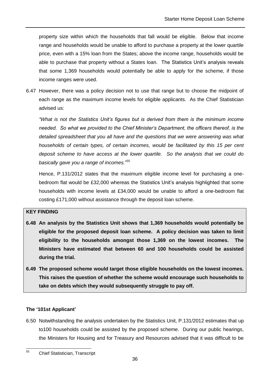property size within which the households that fall would be eligible. Below that income range and households would be unable to afford to purchase a property at the lower quartile price, even with a 15% loan from the States; above the income range, households would be able to purchase that property without a States loan. The Statistics Unit's analysis reveals that some 1,369 households would potentially be able to apply for the scheme, if those income ranges were used.

6.47 However, there was a policy decision not to use that range but to choose the midpoint of each range as the maximum income levels for eligible applicants. As the Chief Statistician advised us:

*"What is not the Statistics Unit's figures but is derived from them is the minimum income needed. So what we provided to the Chief Minister's Department, the officers thereof, is the detailed spreadsheet that you all have and the questions that we were answering was what households of certain types, of certain incomes, would be facilitated by this 15 per cent deposit scheme to have access at the lower quartile. So the analysis that we could do basically gave you a range of incomes.*" 55

Hence, P.131/2012 states that the maximum eligible income level for purchasing a onebedroom flat would be £32,000 whereas the Statistics Unit's analysis highlighted that some households with income levels at £34,000 would be unable to afford a one-bedroom flat costing £171,000 without assistance through the deposit loan scheme.

#### **KEY FINDING**

- **6.48 An analysis by the Statistics Unit shows that 1,369 households would potentially be eligible for the proposed deposit loan scheme. A policy decision was taken to limit eligibility to the households amongst those 1,369 on the lowest incomes. The Ministers have estimated that between 60 and 100 households could be assisted during the trial.**
- **6.49 The proposed scheme would target those eligible households on the lowest incomes. This raises the question of whether the scheme would encourage such households to take on debts which they would subsequently struggle to pay off.**

#### **The '101st Applicant'**

6.50 Notwithstanding the analysis undertaken by the Statistics Unit, P.131/2012 estimates that up to100 households could be assisted by the proposed scheme. During our public hearings, the Ministers for Housing and for Treasury and Resources advised that it was difficult to be

<sup>55</sup> <sup>55</sup> Chief Statistician, Transcript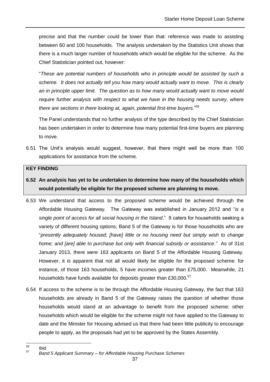precise and that the number could be lower than that: reference was made to assisting between 60 and 100 households. The analysis undertaken by the Statistics Unit shows that there is a much larger number of households which would be eligible for the scheme. As the Chief Statistician pointed out, however:

"*These are potential numbers of households who in principle would be assisted by such a scheme. It does not actually tell you how many would actually want to move. This is clearly an in principle upper limit. The question as to how many would actually want to move would require further analysis with respect to what we have in the housing needs survey, where there are sections in there looking at, again, potential first-time buyers.*" 56

The Panel understands that no further analysis of the type described by the Chief Statistician has been undertaken in order to determine how many potential first-time buyers are planning to move.

6.51 The Unit's analysis would suggest, however, that there might well be more than 100 applications for assistance from the scheme.

#### **KEY FINDING**

- **6.52 An analysis has yet to be undertaken to determine how many of the households which would potentially be eligible for the proposed scheme are planning to move.**
- 6.53 We understand that access to the proposed scheme would be achieved through the Affordable Housing Gateway. The Gateway was established in January 2012 and "*is a single point of access for all social housing in the Island*." It caters for households seeking a variety of different housing options; Band 5 of the Gateway is for those households who are "*presently adequately housed; [have] little or no housing need but simply wish to change home; and [are] able to purchase but only with financial subsidy or assistance*." As of 31st January 2013, there were 163 applicants on Band 5 of the Affordable Housing Gateway. However, it is apparent that not all would likely be eligible for the proposed scheme: for instance, of those 163 households, 5 have incomes greater than £75,000. Meanwhile, 21 households have funds available for deposits greater than  $£30,000.<sup>57</sup>$
- 6.54 If access to the scheme is to be through the Affordable Housing Gateway, the fact that 163 households are already in Band 5 of the Gateway raises the question of whether those households would stand at an advantage to benefit from the proposed scheme: other households which would be eligible for the scheme might not have applied to the Gateway to date and the Minister for Housing advised us that there had been little publicity to encourage people to apply, as the proposals had yet to be approved by the States Assembly.

<sup>56</sup>  $\frac{56}{57}$  Ibid

<sup>57</sup> *Band 5 Applicant Summary – for Affordable Housing Purchase Schemes*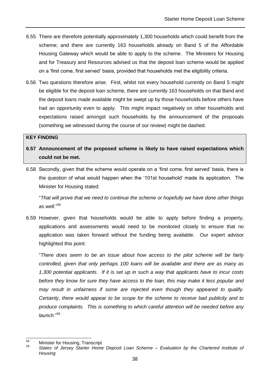- 6.55 There are therefore potentially approximately 1,300 households which could benefit from the scheme; and there are currently 163 households already on Band 5 of the Affordable Housing Gateway which would be able to apply to the scheme. The Ministers for Housing and for Treasury and Resources advised us that the deposit loan scheme would be applied on a 'first come, first served' basis, provided that households met the eligibility criteria.
- 6.56 Two questions therefore arise. First, whilst not every household currently on Band 5 might be eligible for the deposit loan scheme, there are currently 163 households on that Band and the deposit loans made available might be swept up by those households before others have had an opportunity even to apply. This might impact negatively on other households and expectations raised amongst such households by the announcement of the proposals (something we witnessed during the course of our review) might be dashed.

#### **KEY FINDING**

- **6.57 Announcement of the proposed scheme is likely to have raised expectations which could not be met.**
- 6.58 Secondly, given that the scheme would operate on a 'first come, first served' basis, there is the question of what would happen when the '101st household' made its application. The Minister for Housing stated:

"*That will prove that we need to continue the scheme or hopefully we have done other things as well.*" 58

6.59 However, given that households would be able to apply before finding a property, applications and assessments would need to be monitored closely to ensure that no application was taken forward without the funding being available. Our expert advisor highlighted this point:

"*There does seem to be an issue about how access to the pilot scheme will be fairly controlled, given that only perhaps 100 loans will be available and there are as many as 1,300 potential applicants. If it is set up in such a way that applicants have to incur costs before they know for sure they have access to the loan, this may make it less popular and may result in unfairness if some are rejected even though they appeared to qualify. Certainly, there would appear to be scope for the scheme to receive bad publicity and to produce complaints. This is something to which careful attention will be needed before any launch.*" 59

<sup>58</sup> <sup>58</sup> Minister for Housing, Transcript<br>59 **Citize of James: City Lines** 

<sup>59</sup> *States of Jersey Starter Home Deposit Loan Scheme – Evaluation by the Chartered Institute of Housing*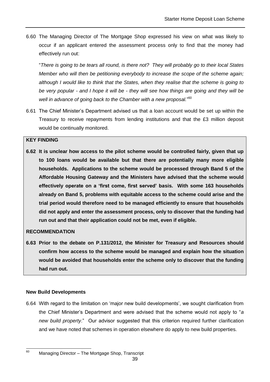6.60 The Managing Director of The Mortgage Shop expressed his view on what was likely to occur if an applicant entered the assessment process only to find that the money had effectively run out:

"*There is going to be tears all round, is there not? They will probably go to their local States Member who will then be petitioning everybody to increase the scope of the scheme again; although I would like to think that the States, when they realise that the scheme is going to be very popular - and I hope it will be - they will see how things are going and they will be*  well in advance of going back to the Chamber with a new proposal."<sup>60</sup>

6.61 The Chief Minister's Department advised us that a loan account would be set up within the Treasury to receive repayments from lending institutions and that the £3 million deposit would be continually monitored.

#### **KEY FINDING**

**6.62 It is unclear how access to the pilot scheme would be controlled fairly, given that up to 100 loans would be available but that there are potentially many more eligible households. Applications to the scheme would be processed through Band 5 of the Affordable Housing Gateway and the Ministers have advised that the scheme would effectively operate on a 'first come, first served' basis. With some 163 households already on Band 5, problems with equitable access to the scheme could arise and the trial period would therefore need to be managed efficiently to ensure that households did not apply and enter the assessment process, only to discover that the funding had run out and that their application could not be met, even if eligible.**

#### **RECOMMENDATION**

**6.63 Prior to the debate on P.131/2012, the Minister for Treasury and Resources should confirm how access to the scheme would be managed and explain how the situation would be avoided that households enter the scheme only to discover that the funding had run out.**

#### **New Build Developments**

6.64 With regard to the limitation on 'major new build developments', we sought clarification from the Chief Minister's Department and were advised that the scheme would not apply to "*a new build property*." Our advisor suggested that this criterion required further clarification and we have noted that schemes in operation elsewhere do apply to new build properties.

<sup>60</sup> Managing Director – The Mortgage Shop, Transcript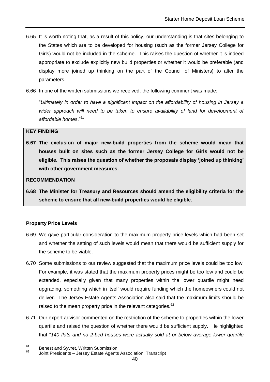- 6.65 It is worth noting that, as a result of this policy, our understanding is that sites belonging to the States which are to be developed for housing (such as the former Jersey College for Girls) would not be included in the scheme. This raises the question of whether it is indeed appropriate to exclude explicitly new build properties or whether it would be preferable (and display more joined up thinking on the part of the Council of Ministers) to alter the parameters.
- 6.66 In one of the written submissions we received, the following comment was made:

"*Ultimately in order to have a significant impact on the affordability of housing in Jersey a*  wider approach will need to be taken to ensure availability of land for development of *affordable homes*."<sup>61</sup>

#### **KEY FINDING**

**6.67 The exclusion of major new-build properties from the scheme would mean that houses built on sites such as the former Jersey College for Girls would not be eligible. This raises the question of whether the proposals display 'joined up thinking' with other government measures.** 

#### **RECOMMENDATION**

**6.68 The Minister for Treasury and Resources should amend the eligibility criteria for the scheme to ensure that all new-build properties would be eligible.**

#### **Property Price Levels**

- 6.69 We gave particular consideration to the maximum property price levels which had been set and whether the setting of such levels would mean that there would be sufficient supply for the scheme to be viable.
- 6.70 Some submissions to our review suggested that the maximum price levels could be too low. For example, it was stated that the maximum property prices might be too low and could be extended, especially given that many properties within the lower quartile might need upgrading, something which in itself would require funding which the homeowners could not deliver. The Jersey Estate Agents Association also said that the maximum limits should be raised to the mean property price in the relevant categories*.* 62
- 6.71 Our expert advisor commented on the restriction of the scheme to properties within the lower quartile and raised the question of whether there would be sufficient supply. He highlighted that "*140 flats and no 2-bed houses were actually sold at or below average lower quartile*

<sup>61</sup>  $^{61}$  Benest and Syvret, Written Submission<br> $^{62}$  Leint Presidents Leresy Estate Agents

Joint Presidents – Jersey Estate Agents Association, Transcript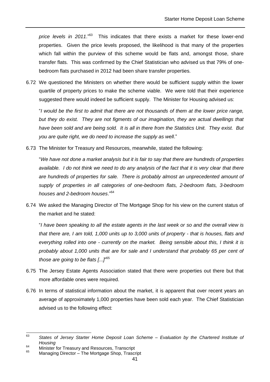price levels in 2011.<sup>"63</sup> This indicates that there exists a market for these lower-end properties. Given the price levels proposed, the likelihood is that many of the properties which fall within the purview of this scheme would be flats and, amongst those, share transfer flats. This was confirmed by the Chief Statistician who advised us that 79% of onebedroom flats purchased in 2012 had been share transfer properties.

6.72 We questioned the Ministers on whether there would be sufficient supply within the lower quartile of property prices to make the scheme viable. We were told that their experience suggested there would indeed be sufficient supply. The Minister for Housing advised us:

"*I would be the first to admit that there are not thousands of them at the lower price range, but they do exist. They are not figments of our imagination, they are actual dwellings that have been sold and are being sold. It is all in there from the Statistics Unit. They exist. But you are quite right, we do need to increase the supply as well*."

6.73 The Minister for Treasury and Resources, meanwhile, stated the following:

"*We have not done a market analysis but it is fair to say that there are hundreds of properties available. I do not think we need to do any analysis of the fact that it is very clear that there are hundreds of properties for sale. There is probably almost an unprecedented amount of supply of properties in all categories of one-bedroom flats, 2-bedroom flats, 3-bedroom houses and 2-bedroom houses*." 64

6.74 We asked the Managing Director of The Mortgage Shop for his view on the current status of the market and he stated:

"*I have been speaking to all the estate agents in the last week or so and the overall view is that there are, I am told, 1,000 units up to 3,000 units of property - that is houses, flats and everything rolled into one - currently on the market. Being sensible about this, I think it is probably about 1,000 units that are for sale and I understand that probably 65 per cent of those are going to be flats [...]*" 65

- 6.75 The Jersey Estate Agents Association stated that there were properties out there but that more affordable ones were required.
- 6.76 In terms of statistical information about the market, it is apparent that over recent years an average of approximately 1,000 properties have been sold each year. The Chief Statistician advised us to the following effect:

<sup>63</sup> <sup>63</sup> *States of Jersey Starter Home Deposit Loan Scheme – Evaluation by the Chartered Institute of Housing*

<sup>&</sup>lt;sup>64</sup> Minister for Treasury and Resources, Transcript<br><sup>65</sup> Menseling Director, The Methods Chap Treasu

Managing Director – The Mortgage Shop, Trascript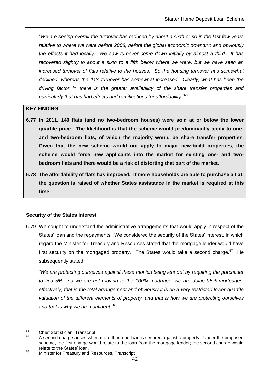"*We are seeing overall the turnover has reduced by about a sixth or so in the last few years relative to where we were before 2008, before the global economic downturn and obviously the effects it had locally. We saw turnover come down initially by almost a third. It has recovered slightly to about a sixth to a fifth below where we were, but we have seen an increased turnover of flats relative to the houses. So the housing turnover has somewhat declined, whereas the flats turnover has somewhat increased. Clearly, what has been the driving factor in there is the greater availability of the share transfer properties and particularly that has had effects and ramifications for affordability.*" 66

#### **KEY FINDING**

- **6.77 In 2011, 140 flats (and no two-bedroom houses) were sold at or below the lower quartile price. The likelihood is that the scheme would predominantly apply to oneand two-bedroom flats, of which the majority would be share transfer properties. Given that the new scheme would not apply to major new-build properties, the scheme would force new applicants into the market for existing one- and twobedroom flats and there would be a risk of distorting that part of the market.**
- **6.78 The affordability of flats has improved. If more households are able to purchase a flat, the question is raised of whether States assistance in the market is required at this time.**

#### **Security of the States Interest**

6.79 We sought to understand the administrative arrangements that would apply in respect of the States' loan and the repayments. We considered the security of the States' interest, in which regard the Minister for Treasury and Resources stated that the mortgage lender would have first security on the mortgaged property. The States would take a second charge. $^{67}$  He subsequently stated:

*"We are protecting ourselves against these monies being lent out by requiring the purchaser to find 5% , so we are not moving to the 100% mortgage, we are doing 95% mortgages, effectively, that is the total arrangement and obviously it is on a very restricted lower quartile valuation of the different elements of property, and that is how we are protecting ourselves and that is why we are confident*." 68

<sup>66</sup>  $^{66}$  Chief Statistician, Transcript

<sup>67</sup> A second charge arises when more than one loan is secured against a property. Under the proposed scheme, the first charge would relate to the loan from the mortgage lender; the second charge would relate to the States' loan.

<sup>&</sup>lt;sup>68</sup> Minister for Treasury and Resources, Transcript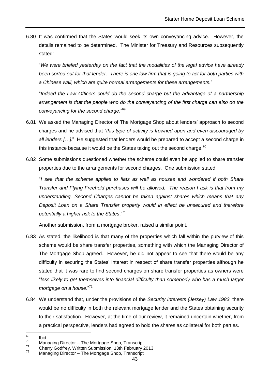6.80 It was confirmed that the States would seek its own conveyancing advice. However, the details remained to be determined. The Minister for Treasury and Resources subsequently stated:

"*We were briefed yesterday on the fact that the modalities of the legal advice have already been sorted out for that lender. There is one law firm that is going to act for both parties with a Chinese wall, which are quite normal arrangements for these arrangements.*"

"*Indeed the Law Officers could do the second charge but the advantage of a partnership arrangement is that the people who do the conveyancing of the first charge can also do the conveyancing for the second charge*." 69

- 6.81 We asked the Managing Director of The Mortgage Shop about lenders' approach to second charges and he advised that "*this type of activity is frowned upon and even discouraged by all lenders […].*"He suggested that lenders would be prepared to accept a second charge in this instance because it would be the States taking out the second charge.<sup>70</sup>
- 6.82 Some submissions questioned whether the scheme could even be applied to share transfer properties due to the arrangements for second charges. One submission stated:

"*I see that the scheme applies to flats as well as houses and wondered if both Share Transfer and Flying Freehold purchases will be allowed. The reason I ask is that from my understanding, Second Charges cannot be taken against shares which means that any Deposit Loan on a Share Transfer property would in effect be unsecured and therefore potentially a higher risk to the States*."<sup>71</sup>

Another submission, from a mortgage broker, raised a similar point.

- 6.83 As stated, the likelihood is that many of the properties which fall within the purview of this scheme would be share transfer properties, something with which the Managing Director of The Mortgage Shop agreed. However, he did not appear to see that there would be any difficulty in securing the States' interest in respect of share transfer properties although he stated that it was rare to find second charges on share transfer properties as owners were "*less likely to get themselves into financial difficulty than somebody who has a much larger mortgage on a house*." 72
- 6.84 We understand that, under the provisions of the *Security Interests (Jersey) Law 1983*, there would be no difficulty in both the relevant mortgage lender and the States obtaining security to their satisfaction. However, at the time of our review, it remained uncertain whether, from a practical perspective, lenders had agreed to hold the shares as collateral for both parties.

<sup>69</sup>  $\frac{69}{70}$  Ibid

 $\frac{70}{71}$  Managing Director – The Mortgage Shop, Transcript

 $71$  Cherry Godfrey, Written Submission, 13th February 2013

Managing Director – The Mortgage Shop, Transcript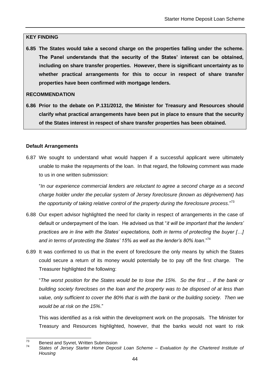#### **KEY FINDING**

**6.85 The States would take a second charge on the properties falling under the scheme. The Panel understands that the security of the States' interest can be obtained, including on share transfer properties. However, there is significant uncertainty as to whether practical arrangements for this to occur in respect of share transfer properties have been confirmed with mortgage lenders.**

#### **RECOMMENDATION**

**6.86 Prior to the debate on P.131/2012, the Minister for Treasury and Resources should clarify what practical arrangements have been put in place to ensure that the security of the States interest in respect of share transfer properties has been obtained.**

#### **Default Arrangements**

6.87 We sought to understand what would happen if a successful applicant were ultimately unable to make the repayments of the loan. In that regard, the following comment was made to us in one written submission:

"*In our experience commercial lenders are reluctant to agree a second charge as a second charge holder under the peculiar system of Jersey foreclosure (known as dégrèvement) has the opportunity of taking relative control of the property during the foreclosure process*."<sup>73</sup>

- 6.88 Our expert advisor highlighted the need for clarity in respect of arrangements in the case of default or underpayment of the loan. He advised us that "*it will be important that the lenders' practices are in line with the States' expectations, both in terms of protecting the buyer […] and in terms of protecting the States' 15% as well as the lender's 80% loan*."<sup>74</sup>
- 6.89 It was confirmed to us that in the event of foreclosure the only means by which the States could secure a return of its money would potentially be to pay off the first charge. The Treasurer highlighted the following:

"*The worst position for the States would be to lose the 15%. So the first ... if the bank or building society forecloses on the loan and the property was to be disposed of at less than value, only sufficient to cover the 80% that is with the bank or the building society. Then we would be at risk on the 15%*."

This was identified as a risk within the development work on the proposals. The Minister for Treasury and Resources highlighted, however, that the banks would not want to risk

<sup>73</sup>  $\frac{73}{74}$  Benest and Syvret, Written Submission

<sup>74</sup> *States of Jersey Starter Home Deposit Loan Scheme – Evaluation by the Chartered Institute of Housing*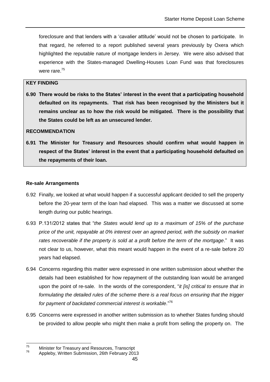foreclosure and that lenders with a 'cavalier attitude' would not be chosen to participate. In that regard, he referred to a report published several years previously by Oxera which highlighted the reputable nature of mortgage lenders in Jersey. We were also advised that experience with the States-managed Dwelling-Houses Loan Fund was that foreclosures were rare.<sup>75</sup>

#### **KEY FINDING**

**6.90 There would be risks to the States' interest in the event that a participating household defaulted on its repayments. That risk has been recognised by the Ministers but it remains unclear as to how the risk would be mitigated. There is the possibility that the States could be left as an unsecured lender.**

#### **RECOMMENDATION**

**6.91 The Minister for Treasury and Resources should confirm what would happen in respect of the States' interest in the event that a participating household defaulted on the repayments of their loan.**

#### **Re-sale Arrangements**

- 6.92 Finally, we looked at what would happen if a successful applicant decided to sell the property before the 20-year term of the loan had elapsed. This was a matter we discussed at some length during our public hearings.
- 6.93 P.131/2012 states that "*the States would lend up to a maximum of 15% of the purchase price of the unit, repayable at 0% interest over an agreed period, with the subsidy on market rates recoverable if the property is sold at a profit before the term of the mortgage*." It was not clear to us, however, what this meant would happen in the event of a re-sale before 20 years had elapsed.
- 6.94 Concerns regarding this matter were expressed in one written submission about whether the details had been established for how repayment of the outstanding loan would be arranged upon the point of re-sale. In the words of the correspondent, "*it [is] critical to ensure that in formulating the detailed rules of the scheme there is a real focus on ensuring that the trigger for payment of backdated commercial interest is workable*." 76
- 6.95 Concerns were expressed in another written submission as to whether States funding should be provided to allow people who might then make a profit from selling the property on. The

 $75$ <sup>75</sup> Minister for Treasury and Resources, Transcript<br> $^{76}$  Appleby Written Submission, 26th Echrupy 2014

Appleby, Written Submission, 26th February 2013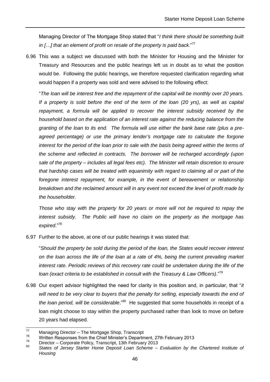Managing Director of The Mortgage Shop stated that "*I think there should be something built in […] that an element of profit on resale of the property is paid back.*" 77

6.96 This was a subject we discussed with both the Minister for Housing and the Minister for Treasury and Resources and the public hearings left us in doubt as to what the position would be. Following the public hearings, we therefore requested clarification regarding what would happen if a property was sold and were advised to the following effect:

"*The loan will be interest free and the repayment of the capital will be monthly over 20 years. If a property is sold before the end of the term of the loan (20 yrs), as well as capital repayment, a formula will be applied to recover the interest subsidy received by the household based on the application of an interest rate against the reducing balance from the granting of the loan to its end. The formula will use either the bank base rate (plus a preagreed percentage) or use the primary lender's mortgage rate to calculate the forgone interest for the period of the loan prior to sale with the basis being agreed within the terms of the scheme and reflected in contracts. The borrower will be recharged accordingly (upon sale of the property – includes all legal fees etc). The Minister will retain discretion to ensure that hardship cases will be treated with equanimity with regard to claiming all or part of the foregone interest repayment, for example, in the event of bereavement or relationship breakdown and the reclaimed amount will in any event not exceed the level of profit made by the householder.*

*Those who stay with the property for 20 years or more will not be required to repay the interest subsidy. The Public will have no claim on the property as the mortgage has expired*." 78

6.97 Further to the above, at one of our public hearings it was stated that:

"*Should the property be sold during the period of the loan, the States would recover interest on the loan across the life of the loan at a rate of 4%, being the current prevailing market*  interest rate. Periodic reviews of this recovery rate could be undertaken during the life of the *loan (exact criteria to be established in consult with the Treasury & Law Officers)*." 79

6.98 Our expert advisor highlighted the need for clarity in this position and, in particular, that "*it*  will need to be very clear to buyers that the penalty for selling, especially towards the end of the loan period, will be considerable."<sup>80</sup> He suggested that some households in receipt of a loan might choose to stay within the property purchased rather than look to move on before 20 years had elapsed.

 $77$  $^{77}$  Managing Director – The Mortgage Shop, Transcript<br> $^{78}$  Multipe Despaces of from the Chief Minister's Description

<sup>&</sup>lt;sup>78</sup> Written Responses from the Chief Minister's Department, 27th February 2013

<sup>&</sup>lt;sup>79</sup> Director – Corporate Policy, Transcript, 13th February 2013<br><sup>80</sup> Dictas of Javanus Ctarter, Llama, Danasit, Lean Schame

<sup>80</sup> *States of Jersey Starter Home Deposit Loan Scheme – Evaluation by the Chartered Institute of Housing*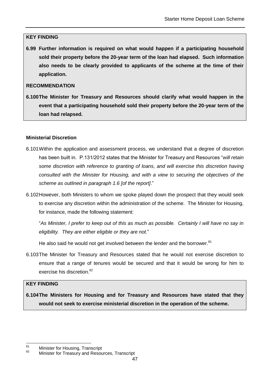#### **KEY FINDING**

**6.99 Further information is required on what would happen if a participating household sold their property before the 20-year term of the loan had elapsed. Such information also needs to be clearly provided to applicants of the scheme at the time of their application.**

#### **RECOMMENDATION**

**6.100The Minister for Treasury and Resources should clarify what would happen in the event that a participating household sold their property before the 20-year term of the loan had relapsed.**

#### **Ministerial Discretion**

- 6.101Within the application and assessment process, we understand that a degree of discretion has been built in. P.131/2012 states that the Minister for Treasury and Resources "*will retain some discretion with reference to granting of loans, and will exercise this discretion having consulted with the Minister for Housing, and with a view to securing the objectives of the scheme as outlined in paragraph 1.6 [of the report]*."
- 6.102However, both Ministers to whom we spoke played down the prospect that they would seek to exercise any discretion within the administration of the scheme. The Minister for Housing, for instance, made the following statement:

"*As Minister, I prefer to keep out of this as much as possible. Certainly I will have no say in eligibility. They are either eligible or they are not.*"

He also said he would not get involved between the lender and the borrower.<sup>81</sup>

6.103The Minister for Treasury and Resources stated that he would not exercise discretion to ensure that a range of tenures would be secured and that it would be wrong for him to exercise his discretion.<sup>82</sup>

#### **KEY FINDING**

**6.104The Ministers for Housing and for Treasury and Resources have stated that they would not seek to exercise ministerial discretion in the operation of the scheme.**

 $81$  $\frac{81}{100}$  Minister for Housing, Transcript

Minister for Treasury and Resources, Transcript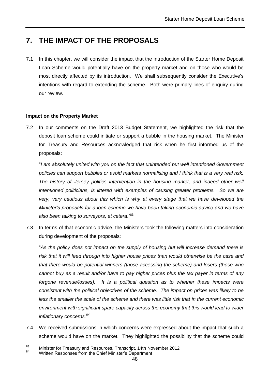## **7. THE IMPACT OF THE PROPOSALS**

7.1 In this chapter, we will consider the impact that the introduction of the Starter Home Deposit Loan Scheme would potentially have on the property market and on those who would be most directly affected by its introduction. We shall subsequently consider the Executive's intentions with regard to extending the scheme. Both were primary lines of enquiry during our review.

#### **Impact on the Property Market**

7.2 In our comments on the Draft 2013 Budget Statement, we highlighted the risk that the deposit loan scheme could initiate or support a bubble in the housing market. The Minister for Treasury and Resources acknowledged that risk when he first informed us of the proposals:

"*I am absolutely united with you on the fact that unintended but well intentioned Government policies can support bubbles or avoid markets normalising and I think that is a very real risk.*  The history of Jersey politics intervention in the housing market, and indeed other well *intentioned politicians, is littered with examples of causing greater problems. So we are very, very cautious about this which is why at every stage that we have developed the Minister's proposals for a loan scheme we have been taking economic advice and we have also been talking to surveyors, et cetera*." 83

7.3 In terms of that economic advice, the Ministers took the following matters into consideration during development of the proposals:

"*As the policy does not impact on the supply of housing but will increase demand there is risk that it will feed through into higher house prices than would otherwise be the case and that there would be potential winners (those accessing the scheme) and losers (those who cannot buy as a result and/or have to pay higher prices plus the tax payer in terms of any forgone revenue/losses).* It is a political question as to whether these impacts were *consistent with the political objectives of the scheme. The impact on prices was likely to be less the smaller the scale of the scheme and there was little risk that in the current economic environment with significant spare capacity across the economy that this would lead to wider inflationary concerns.<sup>84</sup>*

7.4 We received submissions in which concerns were expressed about the impact that such a scheme would have on the market. They highlighted the possibility that the scheme could

<sup>83</sup> <sup>83</sup> Minister for Treasury and Resources, Transcript, 14th November 2012<br><sup>84</sup> Minister Resonance from the Chief Minister's Reportment

Written Responses from the Chief Minister's Department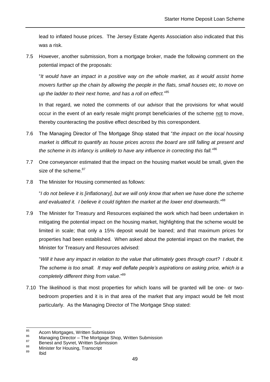lead to inflated house prices. The Jersey Estate Agents Association also indicated that this was a risk.

7.5 However, another submission, from a mortgage broker, made the following comment on the potential impact of the proposals:

"*It would have an impact in a positive way on the whole market, as it would assist home movers further up the chain by allowing the people in the flats, small houses etc, to move on up the ladder to their next home, and has a roll on effect.*" 85

In that regard, we noted the comments of our advisor that the provisions for what would occur in the event of an early resale might prompt beneficiaries of the scheme not to move, thereby counteracting the positive effect described by this correspondent.

- 7.6 The Managing Director of The Mortgage Shop stated that "*the impact on the local housing market is difficult to quantify as house prices across the board are still falling at present and the scheme in its infancy is unlikely to have any influence in correcting this fall.*" 86
- 7.7 One conveyancer estimated that the impact on the housing market would be small, given the size of the scheme.<sup>87</sup>
- 7.8 The Minister for Housing commented as follows:

"*I do not believe it is [inflationary], but we will only know that when we have done the scheme and evaluated it. I believe it could tighten the market at the lower end downwards*." 88

7.9 The Minister for Treasury and Resources explained the work which had been undertaken in mitigating the potential impact on the housing market, highlighting that the scheme would be limited in scale; that only a 15% deposit would be loaned; and that maximum prices for properties had been established. When asked about the potential impact on the market, the Minister for Treasury and Resources advised:

"*Will it have any impact in relation to the value that ultimately goes through court? I doubt it. The scheme is too small. It may well deflate people's aspirations on asking price, which is a completely different thing from value*."<sup>89</sup>

7.10 The likelihood is that most properties for which loans will be granted will be one- or twobedroom properties and it is in that area of the market that any impact would be felt most particularly. As the Managing Director of The Mortgage Shop stated:

<sup>85</sup> <sup>85</sup> Acorn Mortgages, Written Submission<br><sup>86</sup> Margarian Director The Martinese Ch

 $\frac{86}{100}$  Managing Director – The Mortgage Shop, Written Submission

<sup>&</sup>lt;sup>87</sup> Benest and Syvret, Written Submission

 $\frac{88}{89}$  Minister for Housing, Transcript

**Ibid**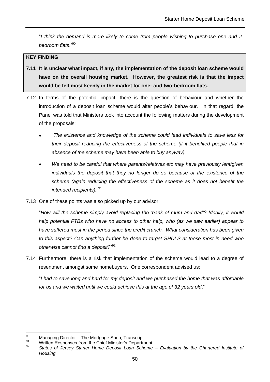"*I think the demand is more likely to come from people wishing to purchase one and 2 bedroom flats*."<sup>90</sup>

#### **KEY FINDING**

- **7.11 It is unclear what impact, if any, the implementation of the deposit loan scheme would have on the overall housing market. However, the greatest risk is that the impact would be felt most keenly in the market for one- and two-bedroom flats.**
- 7.12 In terms of the potential impact, there is the question of behaviour and whether the introduction of a deposit loan scheme would alter people's behaviour. In that regard, the Panel was told that Ministers took into account the following matters during the development of the proposals:
	- "*The existence and knowledge of the scheme could lead individuals to save less for their deposit reducing the effectiveness of the scheme (if it benefited people that in absence of the scheme may have been able to buy anyway).*
	- *We need to be careful that where parents/relatives etc may have previously lent/given individuals the deposit that they no longer do so because of the existence of the scheme (again reducing the effectiveness of the scheme as it does not benefit the intended recipients).*" 91
- 7.13 One of these points was also picked up by our advisor:

"*How will the scheme simply avoid replacing the 'bank of mum and dad'? Ideally, it would help potential FTBs who have no access to other help, who (as we saw earlier) appear to have suffered most in the period since the credit crunch. What consideration has been given to this aspect? Can anything further be done to target SHDLS at those most in need who otherwise cannot find a deposit?*" 92

7.14 Furthermore, there is a risk that implementation of the scheme would lead to a degree of resentment amongst some homebuyers. One correspondent advised us:

"*I had to save long and hard for my deposit and we purchased the home that was affordable for us and we waited until we could achieve this at the age of 32 years old*."

 $90\,$  $\frac{90}{91}$  Managing Director – The Mortgage Shop, Transcript<br> $\frac{1}{91}$  Written Despanses from the Chief Minister's Departm

<sup>&</sup>lt;sup>91</sup> Written Responses from the Chief Minister's Department

<sup>92</sup> *States of Jersey Starter Home Deposit Loan Scheme – Evaluation by the Chartered Institute of Housing*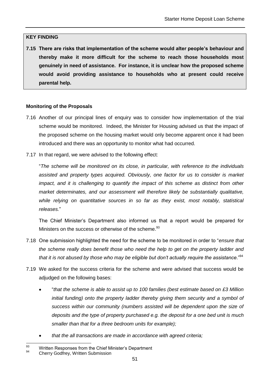#### **KEY FINDING**

**7.15 There are risks that implementation of the scheme would alter people's behaviour and thereby make it more difficult for the scheme to reach those households most genuinely in need of assistance. For instance, it is unclear how the proposed scheme would avoid providing assistance to households who at present could receive parental help.**

#### **Monitoring of the Proposals**

- 7.16 Another of our principal lines of enquiry was to consider how implementation of the trial scheme would be monitored. Indeed, the Minister for Housing advised us that the impact of the proposed scheme on the housing market would only become apparent once it had been introduced and there was an opportunity to monitor what had occurred.
- 7.17 In that regard, we were advised to the following effect:

"*The scheme will be monitored on its close, in particular, with reference to the individuals assisted and property types acquired. Obviously, one factor for us to consider is market impact, and it is challenging to quantify the impact of this scheme as distinct from other market determinates, and our assessment will therefore likely be substantially qualitative, while relying on quantitative sources in so far as they exist, most notably, statistical releases.*"

The Chief Minister's Department also informed us that a report would be prepared for Ministers on the success or otherwise of the scheme.<sup>93</sup>

- 7.18 One submission highlighted the need for the scheme to be monitored in order to "*ensure that the scheme really does benefit those who need the help to get on the property ladder and that it is not abused by those who may be eligible but don't actually require the assistance*."<sup>94</sup>
- 7.19 We asked for the success criteria for the scheme and were advised that success would be adjudged on the following bases:
	- "*that the scheme is able to assist up to 100 families (best estimate based on £3 Million initial funding) onto the property ladder thereby giving them security and a symbol of success within our community (numbers assisted will be dependent upon the size of deposits and the type of property purchased e.g. the deposit for a one bed unit is much smaller than that for a three bedroom units for example);*
	- *that the all transactions are made in accordance with agreed criteria;*

<sup>93</sup> <sup>93</sup> Written Responses from the Chief Minister's Department

Cherry Godfrey, Written Submission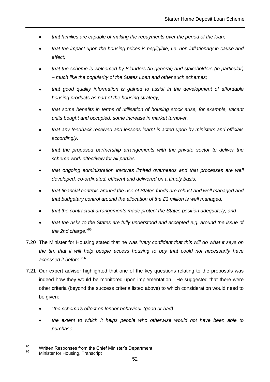- $\bullet$ *that families are capable of making the repayments over the period of the loan;*
- *that the impact upon the housing prices is negligible, i.e. non-inflationary in cause and effect;*
- *that the scheme is welcomed by Islanders (in general) and stakeholders (in particular)*   $\bullet$ *– much like the popularity of the States Loan and other such schemes;*
- *that good quality information is gained to assist in the development of affordable*   $\bullet$ *housing products as part of the housing strategy;*
- *that some benefits in terms of utilisation of housing stock arise, for example, vacant*   $\bullet$ *units bought and occupied, some increase in market turnover.*
- *that any feedback received and lessons learnt is acted upon by ministers and officials accordingly.*
- *that the proposed partnership arrangements with the private sector to deliver the scheme work effectively for all parties*
- *that ongoing administration involves limited overheads and that processes are well*  $\bullet$ *developed, co-ordinated, efficient and delivered on a timely basis.*
- *that financial controls around the use of States funds are robust and well managed and*   $\bullet$ *that budgetary control around the allocation of the £3 million is well managed;*
- *that the contractual arrangements made protect the States position adequately; and*  $\bullet$
- *that the risks to the States are fully understood and accepted e.g. around the issue of the 2nd charge*." 95
- 7.20 The Minister for Housing stated that he was "*very confident that this will do what it says on the tin, that it will help people access housing to buy that could not necessarily have accessed it before.*" 96
- 7.21 Our expert advisor highlighted that one of the key questions relating to the proposals was indeed how they would be monitored upon implementation. He suggested that there were other criteria (beyond the success criteria listed above) to which consideration would need to be given:
	- "*the scheme's effect on lender behaviour (good or bad)*
	- *the extent to which it helps people who otherwise would not have been able to purchase*

<sup>95</sup>  $\frac{95}{96}$  Written Responses from the Chief Minister's Department

Minister for Housing, Transcript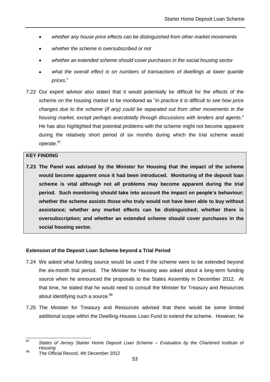- $\bullet$ *whether any house price effects can be distinguished from other market movements*
- *whether the scheme is oversubscribed or not*  $\bullet$
- *whether an extended scheme should cover purchases in the social housing sector*  $\bullet$
- what the overall effect is on numbers of transactions of dwellings at lower quartile *prices.*"
- 7.22 Our expert advisor also stated that it would potentially be difficult for the effects of the scheme on the housing market to be monitored as "*in practice it is difficult to see how price changes due to the scheme (if any) could be separated out from other movements in the housing market, except perhaps anecdotally through discussions with lenders and agents*." He has also highlighted that potential problems with the scheme might not become apparent during the relatively short period of six months during which the trial scheme would operate.<sup>97</sup>

#### **KEY FINDING**

**7.23 The Panel was advised by the Minister for Housing that the impact of the scheme would become apparent once it had been introduced. Monitoring of the deposit loan scheme is vital although not all problems may become apparent during the trial period. Such monitoring should take into account the impact on people's behaviour; whether the scheme assists those who truly would not have been able to buy without assistance; whether any market effects can be distinguished; whether there is oversubscription; and whether an extended scheme should cover purchases in the social housing sector.**

#### **Extension of the Deposit Loan Scheme beyond a Trial Period**

- 7.24 We asked what funding source would be used if the scheme were to be extended beyond the six-month trial period. The Minister for Housing was asked about a long-term funding source when he announced the proposals to the States Assembly in December 2012. At that time, he stated that he would need to consult the Minister for Treasury and Resources about identifying such a source.<sup>98</sup>
- 7.25 The Minister for Treasury and Resources advised that there would be some limited additional scope within the Dwelling-Houses Loan Fund to extend the scheme. However, he

<sup>97</sup> <sup>97</sup> *States of Jersey Starter Home Deposit Loan Scheme – Evaluation by the Chartered Institute of Housing*

<sup>&</sup>lt;sup>98</sup> The Official Record, 4th December 2012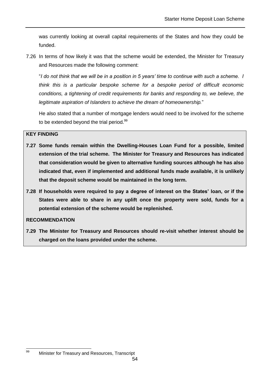was currently looking at overall capital requirements of the States and how they could be funded.

7.26 In terms of how likely it was that the scheme would be extended, the Minister for Treasury and Resources made the following comment:

"*I do not think that we will be in a position in 5 years' time to continue with such a scheme. I think this is a particular bespoke scheme for a bespoke period of difficult economic conditions, a tightening of credit requirements for banks and responding to, we believe, the legitimate aspiration of Islanders to achieve the dream of homeownership.*"

He also stated that a number of mortgage lenders would need to be involved for the scheme to be extended beyond the trial period.<sup>99</sup>

#### **KEY FINDING**

- **7.27 Some funds remain within the Dwelling-Houses Loan Fund for a possible, limited extension of the trial scheme. The Minister for Treasury and Resources has indicated that consideration would be given to alternative funding sources although he has also indicated that, even if implemented and additional funds made available, it is unlikely that the deposit scheme would be maintained in the long term.**
- **7.28 If households were required to pay a degree of interest on the States' loan, or if the States were able to share in any uplift once the property were sold, funds for a potential extension of the scheme would be replenished.**

#### **RECOMMENDATION**

**7.29 The Minister for Treasury and Resources should re-visit whether interest should be charged on the loans provided under the scheme.**

<sup>99</sup> Minister for Treasury and Resources, Transcript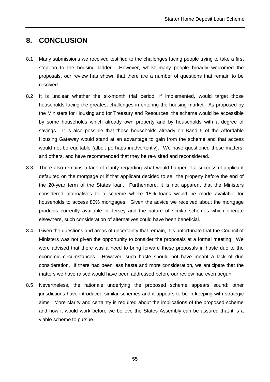## **8. CONCLUSION**

- 8.1 Many submissions we received testified to the challenges facing people trying to take a first step on to the housing ladder. However, whilst many people broadly welcomed the proposals, our review has shown that there are a number of questions that remain to be resolved.
- 8.2 It is unclear whether the six-month trial period, if implemented, would target those households facing the greatest challenges in entering the housing market. As proposed by the Ministers for Housing and for Treasury and Resources, the scheme would be accessible by some households which already own property and by households with a degree of savings. It is also possible that those households already on Band 5 of the Affordable Housing Gateway would stand at an advantage to gain from the scheme and that access would not be equitable (albeit perhaps inadvertently). We have questioned these matters, and others, and have recommended that they be re-visited and reconsidered.
- 8.3 There also remains a lack of clarity regarding what would happen if a successful applicant defaulted on the mortgage or if that applicant decided to sell the property before the end of the 20-year term of the States loan. Furthermore, it is not apparent that the Ministers considered alternatives to a scheme where 15% loans would be made available for households to access 80% mortgages. Given the advice we received about the mortgage products currently available in Jersey and the nature of similar schemes which operate elsewhere, such consideration of alternatives could have been beneficial.
- 8.4 Given the questions and areas of uncertainty that remain, it is unfortunate that the Council of Ministers was not given the opportunity to consider the proposals at a formal meeting. We were advised that there was a need to bring forward these proposals in haste due to the economic circumstances. However, such haste should not have meant a lack of due consideration. If there had been less haste and more consideration, we anticipate that the matters we have raised would have been addressed before our review had even begun.
- 8.5 Nevertheless, the rationale underlying the proposed scheme appears sound: other jurisdictions have introduced similar schemes and it appears to be in keeping with strategic aims. More clarity and certainty is required about the implications of the proposed scheme and how it would work before we believe the States Assembly can be assured that it is a viable scheme to pursue.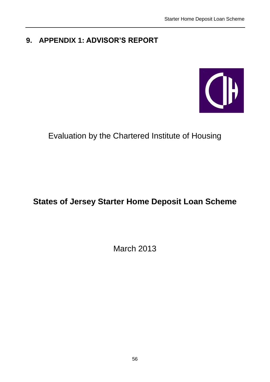# **9. APPENDIX 1: ADVISOR'S REPORT**



# Evaluation by the Chartered Institute of Housing

# **States of Jersey Starter Home Deposit Loan Scheme**

March 2013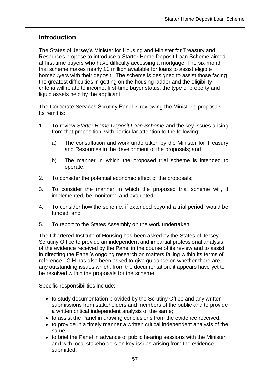### **Introduction**

The States of Jersey's Minister for Housing and Minister for Treasury and Resources propose to introduce a Starter Home Deposit Loan Scheme aimed at first-time buyers who have difficulty accessing a mortgage. The six-month trial scheme makes nearly £3 million available for loans to assist eligible homebuyers with their deposit. The scheme is designed to assist those facing the greatest difficulties in getting on the housing ladder and the eligibility criteria will relate to income, first-time buyer status, the type of property and liquid assets held by the applicant.

The Corporate Services Scrutiny Panel is reviewing the Minister's proposals. Its remit is:

- 1. To review *Starter Home Deposit Loan Scheme* and the key issues arising from that proposition, with particular attention to the following:
	- a) The consultation and work undertaken by the Minister for Treasury and Resources in the development of the proposals; and
	- b) The manner in which the proposed trial scheme is intended to operate;
- 2. To consider the potential economic effect of the proposals;
- 3. To consider the manner in which the proposed trial scheme will, if implemented, be monitored and evaluated;
- 4. To consider how the scheme, if extended beyond a trial period, would be funded; and
- 5. To report to the States Assembly on the work undertaken.

The Chartered Institute of Housing has been asked by the States of Jersey Scrutiny Office to provide an independent and impartial professional analysis of the evidence received by the Panel in the course of its review and to assist in directing the Panel's ongoing research on matters falling within its terms of reference. CIH has also been asked to give guidance on whether there are any outstanding issues which, from the documentation, it appears have yet to be resolved within the proposals for the scheme.

Specific responsibilities include:

- to study documentation provided by the Scrutiny Office and any written submissions from stakeholders and members of the public and to provide a written critical independent analysis of the same;
- to assist the Panel in drawing conclusions from the evidence received;
- to provide in a timely manner a written critical independent analysis of the same;
- to brief the Panel in advance of public hearing sessions with the Minister and with local stakeholders on key issues arising from the evidence submitted;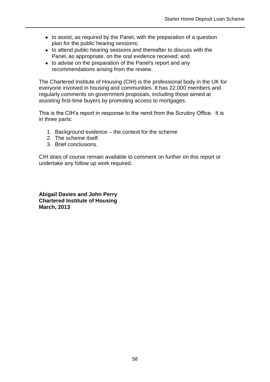- to assist, as required by the Panel, with the preparation of a question plan for the public hearing sessions;
- to attend public hearing sessions and thereafter to discuss with the Panel, as appropriate, on the oral evidence received; and
- to advise on the preparation of the Panel's report and any recommendations arising from the review.

The Chartered Institute of Housing (CIH) is the professional body in the UK for everyone involved in housing and communities. It has 22,000 members and regularly comments on government proposals, including those aimed at assisting first-time buyers by promoting access to mortgages.

This is the CIH's report in response to the remit from the Scrutiny Office. It is in three parts:

- 1. Background evidence the context for the scheme
- 2. The scheme itself.
- 3. Brief conclusions.

CIH does of course remain available to comment on further on this report or undertake any follow up work required.

**Abigail Davies and John Perry Chartered Institute of Housing March, 2013**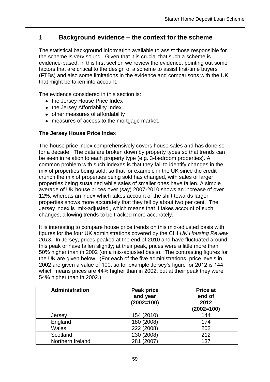### **1 Background evidence – the context for the scheme**

The statistical background information available to assist those responsible for the scheme is very sound. Given that it is crucial that such a scheme is evidence-based, in this first section we review the evidence, pointing out some factors that are critical to the design of a scheme to assist first-time buyers (FTBs) and also some limitations in the evidence and comparisons with the UK that might be taken into account.

The evidence considered in this section is:

- the Jersey House Price Index
- the Jersey Affordability Index
- other measures of affordability
- measures of access to the mortgage market.

#### **The Jersey House Price Index**

The house price index comprehensively covers house sales and has done so for a decade. The data are broken down by property types so that trends can be seen in relation to each property type (e.g. 3-bedroom properties). A common problem with such indexes is that they fail to identify changes in the mix of properties being sold, so that for example in the UK since the credit crunch the mix of properties being sold has changed, with sales of larger properties being sustained while sales of smaller ones have fallen. A simple average of UK house prices over (say) 2007-2010 shows an increase of over 12%, whereas an index which takes account of the shift towards larger properties shows more accurately that they fell by about two per cent. The Jersey index is 'mix-adjusted', which means that it takes account of such changes, allowing trends to be tracked more accurately.

It is interesting to compare house price trends on this mix-adjusted basis with figures for the four UK administrations covered by the CIH *UK Housing Review 2013.* In Jersey, prices peaked at the end of 2010 and have fluctuated around this peak or have fallen slightly; at their peak, prices were a little more than 50% higher than in 2002 (on a mix-adjusted basis). The contrasting figures for the UK are given below. (For each of the five administrations, price levels in 2002 are given a value of 100, so for example Jersey's figure for 2012 is 144 which means prices are 44% higher than in 2002, but at their peak they were 54% higher than in 2002.)

| Administration   | <b>Peak price</b><br>and year<br>$(2002=100)$ | <b>Price at</b><br>end of<br>2012<br>$(2002=100)$ |
|------------------|-----------------------------------------------|---------------------------------------------------|
| Jersey           | 154 (2010)                                    | 144                                               |
| England          | 180 (2008)                                    | 174                                               |
| Wales            | 222 (2008)                                    | 202                                               |
| Scotland         | 230 (2008)                                    | 212                                               |
| Northern Ireland | (2007<br>281                                  | 137                                               |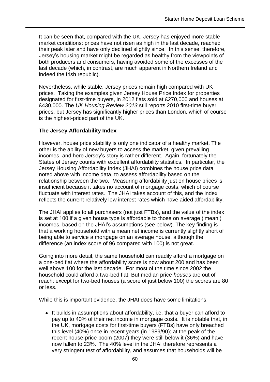It can be seen that, compared with the UK, Jersey has enjoyed more stable market conditions: prices have not risen as high in the last decade, reached their peak later and have only declined slightly since. In this sense, therefore, Jersey's housing market might be regarded as healthy from the viewpoints of both producers and consumers, having avoided some of the excesses of the last decade (which, in contrast, are much apparent in Northern Ireland and indeed the Irish republic).

Nevertheless, while stable, Jersey prices remain high compared with UK prices. Taking the examples given Jersey House Price Index for properties designated for first-time buyers, in 2012 flats sold at £270,000 and houses at £430,000. The *UK Housing Review 2013* still reports 2010 first-time buyer prices, but Jersey has significantly higher prices than London, which of course is the highest-priced part of the UK.

#### **The Jersey Affordability Index**

However, house price stability is only one indicator of a healthy market. The other is the ability of new buyers to access the market, given prevailing incomes, and here Jersey's story is rather different. Again, fortunately the States of Jersey counts with excellent affordability statistics. In particular, the Jersey Housing Affordability Index (JHAI) combines the house price data noted above with income data, to assess affordability based on the relationship between the two. Measuring affordability just on house prices is insufficient because it takes no account of mortgage costs, which of course fluctuate with interest rates. The JHAI takes account of this, and the index reflects the current relatively low interest rates which have aided affordability.

The JHAI applies to all purchasers (not just FTBs), and the value of the index is set at 100 if a given house type is affordable to those on average ('mean') incomes, based on the JHAI's assumptions (see below). The key finding is that a working household with a mean net income is currently slightly short of being able to service a mortgage on an average house, although the difference (an index score of 96 compared with 100) is not great.

Going into more detail, the same household can readily afford a mortgage on a one-bed flat where the affordability score is now about 200 and has been well above 100 for the last decade. For most of the time since 2002 the household could afford a two-bed flat. But median price *houses* are out of reach: except for two-bed houses (a score of just below 100) the scores are 80 or less.

While this is important evidence, the JHAI does have some limitations:

• It builds in assumptions about affordability, i.e. that a buyer can afford to pay up to 40% of their net income in mortgage costs. It is notable that, in the UK, mortgage costs for first-time buyers (FTBs) have only breached this level (40%) once in recent years (in 1989/90); at the peak of the recent house-price boom (2007) they were still below it (36%) and have now fallen to 23%. The 40% level in the JHAI therefore represents a very stringent test of affordability, and assumes that households will be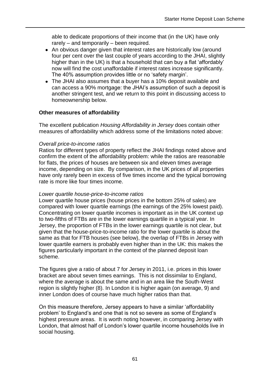able to dedicate proportions of their income that (in the UK) have only rarely – and temporarily – been required.

- An obvious danger given that interest rates are historically low (around four per cent over the last couple of years according to the JHAI, slightly higher than in the UK) is that a household that can buy a flat 'affordably' now will find the cost unaffordable if interest rates increase significantly. The 40% assumption provides little or no 'safety margin'.
- The JHAI also assumes that a buyer has a 10% deposit available and can access a 90% mortgage: the JHAI's assumption of such a deposit is another stringent test, and we return to this point in discussing access to homeownership below.

#### **Other measures of affordability**

The excellent publication *Housing Affordability in Jersey* does contain other measures of affordability which address some of the limitations noted above:

#### *Overall price-to-income ratios*

Ratios for different types of property reflect the JHAI findings noted above and confirm the extent of the affordability problem: while the ratios are reasonable for flats, the prices of houses are between six and eleven times average income, depending on size. By comparison, in the UK prices of all properties have only rarely been in excess of five times income and the typical borrowing rate is more like four times income.

#### *Lower quartile house-price-to-income ratios*

Lower quartile house prices (house prices in the bottom 25% of sales) are compared with lower quartile earnings (the earnings of the 25% lowest paid). Concentrating on lower quartile incomes is important as in the UK context up to two-fifths of FTBs are in the lower earnings quartile in a typical year. In Jersey, the proportion of FTBs in the lower earnings quartile is not clear, but given that the house-price-to-income ratio for the lower quartile is about the same as that for FTB houses (see below), the overlap of FTBs in Jersey with lower quartile earners is probably even higher than in the UK: this makes the figures particularly important in the context of the planned deposit loan scheme.

The figures give a ratio of about 7 for Jersey in 2011, i.e. prices in this lower bracket are about seven times earnings. This is not dissimilar to England, where the average is about the same and in an area like the South-West region is slightly higher (8). In London it is higher again (on average, 9) and inner London does of course have much higher ratios than that.

On this measure therefore, Jersey appears to have a similar 'affordability problem' to England's and one that is not so severe as some of England's highest pressure areas. It is worth noting however, in comparing Jersey with London, that almost half of London's lower quartile income households live in social housing.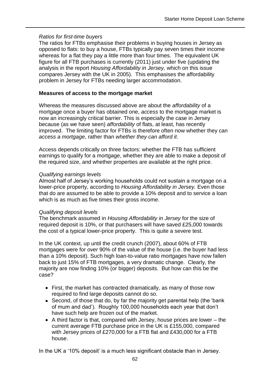#### *Ratios for first-time buyers*

The ratios for FTBs emphasise their problems in buying houses in Jersey as opposed to flats: to buy a house, FTBs typically pay seven times their income whereas for a flat they pay a little more than four times. The equivalent UK figure for all FTB purchases is currently (2011) just under five (updating the analysis in the report *Housing Affordability in Jersey,* which on this issue compares Jersey with the UK in 2005). This emphasises the affordability problem in Jersey for FTBs needing larger accommodation.

#### **Measures of access to the mortgage market**

Whereas the measures discussed above are about the *affordability* of a mortgage once a buyer has obtained one, *access* to the mortgage market is now an increasingly critical barrier. This is especially the case in Jersey because (as we have seen) *affordability* of flats, at least, has recently improved. The limiting factor for FTBs is therefore often now whether they can *access a mortgage*, rather than *whether they can afford it*.

Access depends critically on three factors: whether the FTB has sufficient earnings to qualify for a mortgage, whether they are able to make a deposit of the required size, and whether properties are available at the right price.

#### *Qualifying earnings levels*

Almost half of Jersey's working households could not sustain a mortgage on a lower-price property, according to *Housing Affordability in Jersey.* Even those that do are assumed to be able to provide a 10% deposit and to service a loan which is as much as five times their gross income.

#### *Qualifying deposit levels*

The benchmark assumed in *Housing Affordability in Jersey* for the size of required deposit is 10%, or that purchasers will have saved £25,000 towards the cost of a typical lower-price property. This is quite a severe test.

In the UK context, up until the credit crunch (2007), about 60% of FTB mortgages were for *over* 90% of the value of the house (i.e. the buyer had less than a 10% deposit). Such high loan-to-value ratio mortgages have now fallen back to just 15% of FTB mortgages, a very dramatic change. Clearly, the majority are now finding 10% (or bigger) deposits. But how can this be the case?

- First, the market has contracted dramatically, as many of those now required to find large deposits cannot do so.
- Second, of those that do, by far the majority get parental help (the 'bank' of mum and dad'). Roughly 100,000 households each year that don't have such help are frozen out of the market.
- $\bullet$  A third factor is that, compared with Jersey, house prices are lower the current average FTB purchase price in the UK is £155,000, compared with Jersey prices of £270,000 for a FTB flat and £430,000 for a FTB house.

In the UK a '10% deposit' is a much less significant obstacle than in Jersey.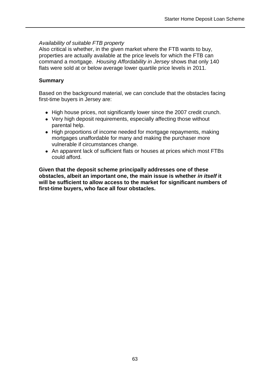#### *Availability of suitable FTB property*

Also critical is whether, in the given market where the FTB wants to buy, properties are actually available at the price levels for which the FTB can command a mortgage. *Housing Affordability in Jersey* shows that only 140 flats were sold at or below average lower quartile price levels in 2011.

#### **Summary**

Based on the background material, we can conclude that the obstacles facing first-time buyers in Jersey are:

- High house prices, not significantly lower since the 2007 credit crunch.
- Very high deposit requirements, especially affecting those without parental help.
- High proportions of income needed for mortgage repayments, making mortgages unaffordable for many and making the purchaser more vulnerable if circumstances change.
- An apparent lack of sufficient flats or houses at prices which most FTBs could afford.

**Given that the deposit scheme principally addresses one of these obstacles, albeit an important one, the main issue is whether** *in itself* **it will be sufficient to allow access to the market for significant numbers of first-time buyers, who face all four obstacles.**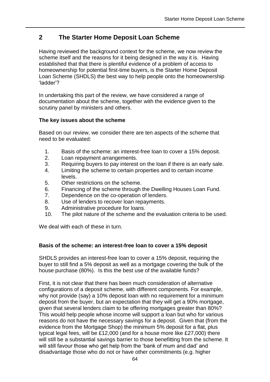## **2 The Starter Home Deposit Loan Scheme**

Having reviewed the background context for the scheme, we now review the scheme itself and the reasons for it being designed in the way it is. Having established that that there is plentiful evidence of a problem of access to homeownership for potential first-time buyers, is the Starter Home Deposit Loan Scheme (SHDLS) the best way to help people onto the homeownership 'ladder'?

In undertaking this part of the review, we have considered a range of documentation about the scheme, together with the evidence given to the scrutiny panel by ministers and others.

#### **The key issues about the scheme**

Based on our review, we consider there are ten aspects of the scheme that need to be evaluated:

- 1. Basis of the scheme: an interest-free loan to cover a 15% deposit.
- 2. Loan repayment arrangements.
- 3. Requiring buyers to pay interest on the loan if there is an early sale.
- 4. Limiting the scheme to certain properties and to certain income levels.
- 5. Other restrictions on the scheme.
- 6. Financing of the scheme through the Dwelling Houses Loan Fund.
- 7. Dependence on the co-operation of lenders.
- 8. Use of lenders to recover loan repayments.
- 9. Administrative procedure for loans.
- 10. The pilot nature of the scheme and the evaluation criteria to be used.

We deal with each of these in turn.

#### **Basis of the scheme: an interest-free loan to cover a 15% deposit**

SHDLS provides an interest-free loan to cover a 15% deposit, requiring the buyer to still find a 5% deposit as well as a mortgage covering the bulk of the house purchase (80%). Is this the best use of the available funds?

First, it is not clear that there has been much consideration of alternative configurations of a deposit scheme, with different components. For example, why not provide (say) a 10% deposit loan with no requirement for a minimum deposit from the buyer, but an expectation that they will get a 90% mortgage, given that several lenders claim to be offering mortgages greater than 80%? This would help people whose income will support a loan but who for various reasons do not have the necessary savings for a deposit. Given that (from the evidence from the Mortgage Shop) the minimum 5% deposit for a flat, plus typical legal fees, will be £12,000 (and for a house more like £27,000) there will still be a substantial savings barrier to those benefitting from the scheme. It will still favour those who get help from the 'bank of mum and dad' and disadvantage those who do not or have other commitments (e.g. higher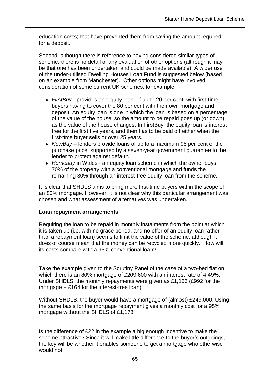education costs) that have prevented them from saving the amount required for a deposit.

Second, although there is reference to having considered similar types of scheme, there is no detail of any evaluation of other options (although it may be that one has been undertaken and could be made available). A wider use of the under-utilised Dwelling Houses Loan Fund is suggested below (based on an example from Manchester). Other options might have involved consideration of some current UK schemes, for example:

- *FirstBuy*  provides an 'equity loan' of up to 20 per cent, with first-time buyers having to cover the 80 per cent with their own mortgage and deposit. An equity loan is one in which the loan is based on a percentage of the value of the house, so the amount to be repaid goes up (or down) as the value of the house changes. In FirstBuy, the equity loan is interest free for the first five years, and then has to be paid off either when the first-time buyer sells or over 25 years.
- *NewBuy –* lenders provide loans of up to a maximum 95 per cent of the purchase price, supported by a seven-year government guarantee to the lender to protect against default.
- *Homebuy* in Wales an equity loan scheme in which the owner buys 70% of the property with a conventional mortgage and funds the remaining 30% through an interest-free equity loan from the scheme.

It is clear that SHDLS aims to bring more first-time buyers within the scope of an 80% mortgage. However, it is not clear why this particular arrangement was chosen and what assessment of alternatives was undertaken.

#### **Loan repayment arrangements**

Requiring the loan to be repaid in monthly instalments from the point at which it is taken up (i.e. with no grace period, and no offer of an equity loan rather than a repayment loan) seems to limit the value of the scheme, although it does of course mean that the money can be recycled more quickly. How will its costs compare with a 95% conventional loan?

Take the example given to the Scrutiny Panel of the case of a two-bed flat on which there is an 80% mortgage of £209,600 with an interest rate of 4.49%. Under SHDLS, the monthly repayments were given as £1,156 (£992 for the mortgage + £164 for the interest-free loan).

Without SHDLS, the buyer would have a mortgage of (almost) £249,000. Using the same basis for the mortgage repayment gives a monthly cost for a 95% mortgage without the SHDLS of £1,178.

Is the difference of £22 in the example a big enough incentive to make the scheme attractive? Since it will make little difference to the buyer's outgoings, the key will be whether it enables someone to get a mortgage who otherwise would not.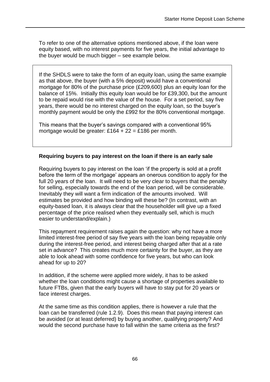To refer to one of the alternative options mentioned above, if the loan were equity based, with no interest payments for five years, the initial advantage to the buyer would be much bigger – see example below.

If the SHDLS were to take the form of an equity loan, using the same example as that above, the buyer (with a 5% deposit) would have a conventional mortgage for 80% of the purchase price (£209,600) plus an equity loan for the balance of 15%. Initially this equity loan would be for £39,300, but the amount to be repaid would rise with the value of the house. For a set period, say five years, there would be no interest charged on the equity loan, so the buyer's monthly payment would be only the £992 for the 80% conventional mortgage.

This means that the buyer's savings compared with a conventional 95% mortgage would be greater: £164 +  $22 = £186$  per month.

#### **Requiring buyers to pay interest on the loan if there is an early sale**

Requiring buyers to pay interest on the loan 'if the property is sold at a profit before the term of the mortgage' appears an onerous condition to apply for the full 20 years of the loan. It will need to be very clear to buyers that the penalty for selling, especially towards the end of the loan period, will be considerable. Inevitably they will want a firm indication of the amounts involved. Will estimates be provided and how binding will these be? (In contrast, with an equity-based loan, it is always clear that the householder will give up a fixed percentage of the price realised when they eventually sell, which is much easier to understand/explain.)

This repayment requirement raises again the question: why not have a more limited interest-free period of say five years with the loan being repayable only during the interest-free period, and interest being charged after that at a rate set in advance? This creates much more certainty for the buyer, as they are able to look ahead with some confidence for five years, but who can look ahead for up to 20?

In addition, if the scheme were applied more widely, it has to be asked whether the loan conditions might cause a shortage of properties available to future FTBs, given that the early buyers will have to stay put for 20 years or face interest charges.

At the same time as this condition applies, there is however a rule that the loan can be transferred (rule 1.2.9). Does this mean that paying interest can be avoided (or at least deferred) by buying another, qualifying property? And would the second purchase have to fall within the same criteria as the first?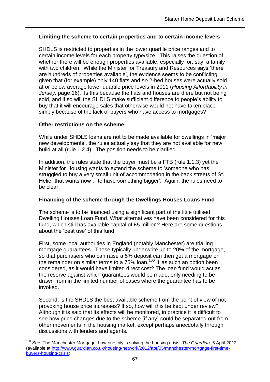#### **Limiting the scheme to certain properties and to certain income levels**

SHDLS is restricted to properties in the lower quartile price ranges and to certain income levels for each property type/size. This raises the question of whether there will be enough properties available, especially for, say, a family with two children. While the Minister for Treasury and Resources says 'there are hundreds of properties available', the evidence seems to be conflicting, given that (for example) only 140 flats and *no* 2-bed houses were actually sold at or below average lower quartile price levels in 2011 (*Housing Affordability in Jersey,* page 16). Is this because the flats and houses are there but not being sold, and if so will the SHDLS make sufficient difference to people's ability to buy that it will encourage sales that otherwise would not have taken place simply because of the lack of buyers who have access to mortgages?

#### **Other restrictions on the scheme**

While under SHDLS loans are not to be made available for dwellings in 'major new developments', the rules actually say that they are not available for new build at all (rule 1.2.4). The position needs to be clarified.

In addition, the rules state that the buyer must be a FTB (rule 1.1.3) yet the Minister for Housing wants to extend the scheme to 'someone who has struggled to buy a very small unit of accommodation in the back streets of St. Helier that wants now …to have something bigger'. Again, the rules need to be clear.

#### **Financing of the scheme through the Dwellings Houses Loans Fund**

The scheme is to be financed using a significant part of the little utilised Dwelling Houses Loan Fund. What alternatives have been considered for this fund, which still has available capital of £5 million? Here are some questions about the 'best use' of this fund.

First, some local authorities in England (notably Manchester) are trialling mortgage guarantees. These typically underwrite up to 20% of the mortgage, so that purchasers who can raise a 5% deposit can then get a mortgage on the remainder on similar terms to a 75% loan.<sup>100</sup> Has such an option been considered, as it would have limited direct cost? The loan fund would act as the reserve against which guarantees would be made, only needing to be drawn from in the limited number of cases where the guarantee has to be invoked.

Second, is the SHDLS the best available scheme from the point of view of not provoking house price increases? If so, how will this be kept under review? Although it is said that its effects will be monitored, in practice it is difficult to see how price changes due to the scheme (if any) could be separated out from other movements in the housing market, except perhaps anecdotally through discussions with lenders and agents.

<sup>100</sup> See 'The Manchester Mortgage: how one city is solving the housing crisis. *The Guardian,* 5 April 2012 (available at [http://www.guardian.co.uk/housing-network/2012/apr/05/manchester-mortgage-first-time](http://www.guardian.co.uk/housing-network/2012/apr/05/manchester-mortgage-first-time-buyers-housing-crisis)[buyers-housing-crisis\)](http://www.guardian.co.uk/housing-network/2012/apr/05/manchester-mortgage-first-time-buyers-housing-crisis).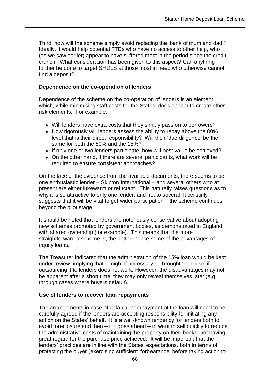Third, how will the scheme simply avoid replacing the 'bank of mum and dad'? Ideally, it would help potential FTBs who have no access to other help, who (as we saw earlier) appear to have suffered most in the period since the credit crunch. What consideration has been given to this aspect? Can anything further be done to target SHDLS at those most in need who otherwise cannot find a deposit?

#### **Dependence on the co-operation of lenders**

Dependence of the scheme on the co-operation of lenders is an element which, while minimising staff costs for the States, does appear to create other risk elements. For example:

- Will lenders have extra costs that they simply pass on to borrowers?
- How rigorously will lenders assess the ability to repay above the 80% level that is their direct responsibility? Will their 'due diligence' be the same for both the 80% and the 15%?
- If only one or two lenders participate, how will best value be achieved?
- On the other hand, if there are several participants, what work will be required to ensure consistent approaches?

On the face of the evidence from the available documents, there seems to be one enthusiastic lender – Skipton International – and several others who at present are either lukewarm or reluctant. This naturally raises questions as to why it is so attractive to only one lender, and not to several. It certainly suggests that it will be vital to get wider participation if the scheme continues beyond the pilot stage.

It should be noted that lenders are notoriously conservative about adopting new schemes promoted by government bodies, as demonstrated in England with shared ownership (for example). This means that the more straightforward a scheme is, the better, hence some of the advantages of equity loans.

The Treasurer indicated that the administration of the 15% loan would be kept under review, implying that it might if necessary be brought 'in-house' if outsourcing it to lenders does not work. However, the disadvantages may not be apparent after a short time, they may only reveal themselves later (e.g. through cases where buyers default).

#### **Use of lenders to recover loan repayments**

The arrangements in case of default/underpayment of the loan will need to be carefully agreed if the lenders are accepting responsibility for initiating any action on the States' behalf. It is a well-known tendency for lenders both to avoid foreclosure and then – if it goes ahead – to want to sell quickly to reduce the administrative costs of maintaining the property on their books, not having great regard for the purchase price achieved. It will be important that the lenders' practices are in line with the States' expectations, both in terms of protecting the buyer (exercising sufficient 'forbearance' before taking action to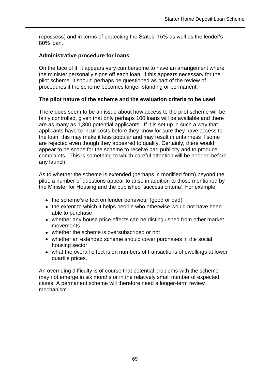repossess) and in terms of protecting the States' 15% as well as the lender's 80% loan.

### **Administrative procedure for loans**

On the face of it, it appears very cumbersome to have an arrangement where the minister personally signs off each loan. If this appears necessary for the pilot scheme, it should perhaps be questioned as part of the review of procedures if the scheme becomes longer-standing or permanent.

### **The pilot nature of the scheme and the evaluation criteria to be used**

There does seem to be an issue about how access to the pilot scheme will be fairly controlled, given that only perhaps 100 loans will be available and there are as many as 1,300 potential applicants. If it is set up in such a way that applicants have to incur costs before they know for sure they have access to the loan, this may make it less popular and may result in unfairness if some are rejected even though they appeared to qualify. Certainly, there would appear to be scope for the scheme to receive bad publicity and to produce complaints. This is something to which careful attention will be needed before any launch.

As to whether the scheme is extended (perhaps in modified form) beyond the pilot, a number of questions appear to arise in addition to those mentioned by the Minister for Housing and the published 'success criteria'. For example:

- the scheme's effect on lender behaviour (good or bad)
- the extent to which it helps people who otherwise would not have been able to purchase
- whether any house price effects can be distinguished from other market movements
- whether the scheme is oversubscribed or not
- whether an extended scheme should cover purchases in the social housing sector
- what the overall effect is on numbers of transactions of dwellings at lower quartile prices.

An overriding difficulty is of course that potential problems with the scheme may not emerge in six months or in the relatively small number of expected cases. A permanent scheme will therefore need a longer-term review mechanism.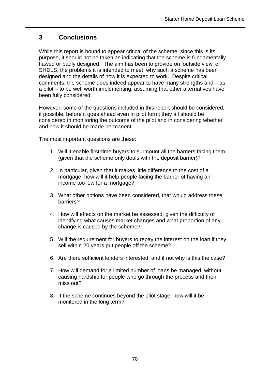## **3 Conclusions**

While this report is bound to appear critical of the scheme, since this is its purpose, it should not be taken as indicating that the scheme is fundamentally flawed or badly designed. The aim has been to provide on 'outside view' of SHDLS, the problems it is intended to meet, why such a scheme has been designed and the details of how it is expected to work. Despite critical comments, the scheme does indeed appear to have many strengths and – as a pilot – to be well worth implementing, assuming that other alternatives have been fully considered.

However, some of the questions included in this report should be considered, if possible, before it goes ahead even in pilot form; they all should be considered in monitoring the outcome of the pilot and in considering whether and how it should be made permanent.

The most important questions are these:

- 1. Will it enable first-time buyers to surmount all the barriers facing them (given that the scheme only deals with the deposit barrier)?
- 2. In particular, given that it makes little difference to the cost of a mortgage, how will it help people facing the barrier of having an income too low for a mortgage?
- 3. What other options have been considered, that would address these barriers?
- 4. How will effects on the market be assessed, given the difficulty of identifying what causes market changes and what proportion of any change is caused by the scheme?
- 5. Will the requirement for buyers to repay the interest on the loan if they sell within 20 years put people off the scheme?
- 6. Are there sufficient lenders interested, and if not why is this the case?
- 7. How will demand for a limited number of loans be managed, without causing hardship for people who go through the process and then miss out?
- 8. If the scheme continues beyond the pilot stage, how will it be monitored in the long term?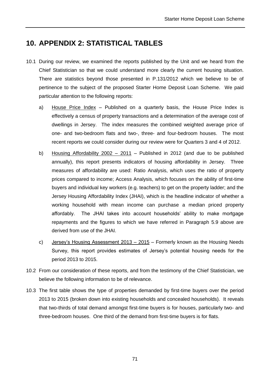# **10. APPENDIX 2: STATISTICAL TABLES**

- 10.1 During our review, we examined the reports published by the Unit and we heard from the Chief Statistician so that we could understand more clearly the current housing situation. There are statistics beyond those presented in P.131/2012 which we believe to be of pertinence to the subject of the proposed Starter Home Deposit Loan Scheme. We paid particular attention to the following reports:
	- a) House Price Index Published on a quarterly basis, the House Price Index is effectively a census of property transactions and a determination of the average cost of dwellings in Jersey. The index measures the combined weighted average price of one- and two-bedroom flats and two-, three- and four-bedroom houses. The most recent reports we could consider during our review were for Quarters 3 and 4 of 2012.
	- b) Housing Affordability 2002 2011 Published in 2012 (and due to be published annually), this report presents indicators of housing affordability in Jersey. Three measures of affordability are used: Ratio Analysis, which uses the ratio of property prices compared to income; Access Analysis, which focuses on the ability of first-time buyers and individual key workers (e.g. teachers) to get on the property ladder; and the Jersey Housing Affordability Index (JHAI), which is the headline indicator of whether a working household with mean income can purchase a median priced property affordably. The JHAI takes into account households' ability to make mortgage repayments and the figures to which we have referred in Paragraph 5.9 above are derived from use of the JHAI.
	- c) Jersey's Housing Assessment 2013 2015 Formerly known as the Housing Needs Survey, this report provides estimates of Jersey's potential housing needs for the period 2013 to 2015.
- 10.2 From our consideration of these reports, and from the testimony of the Chief Statistician, we believe the following information to be of relevance.
- 10.3 The first table shows the type of properties demanded by first-time buyers over the period 2013 to 2015 (broken down into existing households and concealed households). It reveals that two-thirds of total demand amongst first-time buyers is for houses, particularly two- and three-bedroom houses. One third of the demand from first-time buyers is for flats.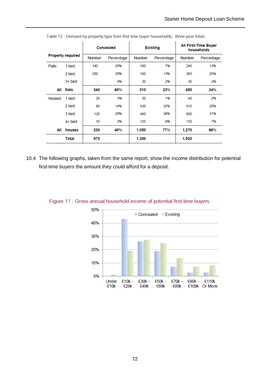|                          |          |        | Concealed  | <b>Existing</b> |            | All First-Time Buyer<br>households |            |
|--------------------------|----------|--------|------------|-----------------|------------|------------------------------------|------------|
| <b>Property required</b> |          | Number | Percentage | Number          | Percentage | Number                             | Percentage |
| Flats                    | 1 bed    | 140    | 25%        | 100             | 7%         | 240                                | 13%        |
|                          | 2 bed    | 200    | 35%        | 180             | 13%        | 380                                | 20%        |
|                          | $3+$ bed |        | 0%         | 30              | 2%         | 30                                 | 2%         |
| All                      | flats    | 340    | 60%        | 310             | 23%        | 650                                | 34%        |
| Houses                   | 1 bed    | 20     | 3%         | 20              | 1%         | 40                                 | 2%         |
|                          | 2 bed    | 80     | 14%        | 430             | 32%        | 510                                | 26%        |
|                          | 3 bed    | 120    | 20%        | 480             | 36%        | 600                                | 31%        |
|                          | $4+$ bed | 10     | 3%         | 120             | 9%         | 130                                | 7%         |
| All                      | houses   | 230    | 40%        | 1.050           | 77%        | 1,270                              | 66%        |
|                          | Total    | 570    |            | 1,350           |            | 1,920                              |            |

Table 12 - Demand by property type from first time buyer households; three-year totals

10.4 The following graphs, taken from the same report, show the income distribution for potential first-time buyers the amount they could afford for a deposit.



Figure 11 - Gross annual household income of potential first-time buyers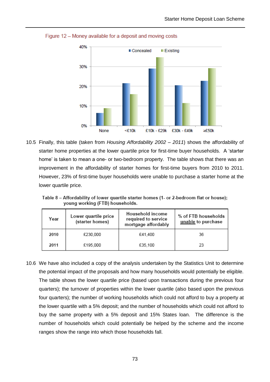

Figure 12 - Money available for a deposit and moving costs

10.5 Finally, this table (taken from *Housing Affordability 2002 – 2011*) shows the affordability of starter home properties at the lower quartile price for first-time buyer households. A 'starter home' is taken to mean a one- or two-bedroom property. The table shows that there was an improvement in the affordability of starter homes for first-time buyers from 2010 to 2011. However, 23% of first-time buyer households were unable to purchase a starter home at the lower quartile price.

Table 8 - Affordability of lower quartile starter homes (1- or 2-bedroom flat or house); young working (FTB) households.

| Year | Lower quartile price<br>(starter homes) | Household income<br>required to service<br>mortgage affordably | % of FTB households<br>unable to purchase |  |  |
|------|-----------------------------------------|----------------------------------------------------------------|-------------------------------------------|--|--|
| 2010 | £230,000                                | £41,400                                                        | 36                                        |  |  |
| 2011 | £195,000                                | £35,100                                                        | 23                                        |  |  |

10.6 We have also included a copy of the analysis undertaken by the Statistics Unit to determine the potential impact of the proposals and how many households would potentially be eligible. The table shows the lower quartile price (based upon transactions during the previous four quarters); the turnover of properties within the lower quartile (also based upon the previous four quarters); the number of working households which could not afford to buy a property at the lower quartile with a 5% deposit; and the number of households which could not afford to buy the same property with a 5% deposit and 15% States loan. The difference is the number of households which could potentially be helped by the scheme and the income ranges show the range into which those households fall.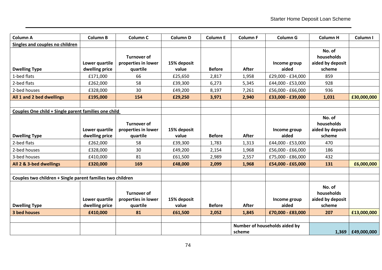| <b>Column A</b>                                            | <b>Column B</b>                  | Column C                                              | <b>Column D</b>      | <b>Column E</b> | <b>Column G</b><br><b>Column F</b>      |                       | <b>Column H</b>                                    | Column I    |
|------------------------------------------------------------|----------------------------------|-------------------------------------------------------|----------------------|-----------------|-----------------------------------------|-----------------------|----------------------------------------------------|-------------|
| Singles and couples no children                            |                                  |                                                       |                      |                 |                                         |                       |                                                    |             |
| <b>Dwelling Type</b>                                       | Lower quartile<br>dwelling price | <b>Turnover of</b><br>properties in lower<br>quartile | 15% deposit<br>value | <b>Before</b>   | <b>After</b>                            | Income group<br>aided | No. of<br>households<br>aided by deposit<br>scheme |             |
| 1-bed flats                                                | £171,000                         | 66                                                    | £25,650              | 2,817           | 1,958                                   | £29,000 - £34,000     | 859                                                |             |
| 2-bed flats                                                | £262,000                         | 58                                                    | £39,300              | 6,273           | 5,345                                   | £44,000 - £53,000     | 928                                                |             |
| 2-bed houses                                               | £328,000                         | 30                                                    | £49,200              | 8,197           | 7,261                                   | £56,000 - £66,000     | 936                                                |             |
| All 1 and 2 bed dwellings                                  | £195,000                         | 154                                                   | £29,250              | 3,971           | 2,940                                   | £33,000 - £39,000     | 1,031                                              | £30,000,000 |
|                                                            |                                  |                                                       |                      |                 |                                         |                       |                                                    |             |
| Couples One child + Single parent families one child       |                                  |                                                       |                      |                 |                                         |                       |                                                    |             |
| <b>Dwelling Type</b>                                       | Lower quartile<br>dwelling price | <b>Turnover of</b><br>properties in lower<br>quartile | 15% deposit<br>value | <b>Before</b>   | <b>After</b>                            | Income group<br>aided | No. of<br>households<br>aided by deposit<br>scheme |             |
| 2-bed flats                                                | £262,000                         | 58                                                    | £39,300              | 1,783           | 1,313                                   | £44,000 - £53,000     | 470                                                |             |
| 2-bed houses                                               | £328,000                         | 30                                                    | £49,200              | 2,154           | 1,968                                   | £56,000 - £66,000     | 186                                                |             |
| 3-bed houses                                               | £410,000                         | 81                                                    | £61,500              | 2,989           | 2,557                                   | £75,000 - £86,000     | 432                                                |             |
| All 2 & 3-bed dwellings                                    | £320,000                         | 169                                                   | £48,000              | 2,099           | 1,968                                   | £54,000 - £65,000     | 131                                                | £6,000,000  |
| Couples two children + Single parent families two children |                                  |                                                       |                      |                 |                                         |                       |                                                    |             |
| <b>Dwelling Type</b>                                       | Lower quartile<br>dwelling price | <b>Turnover of</b><br>properties in lower<br>quartile | 15% deposit<br>value | <b>Before</b>   | <b>After</b>                            | Income group<br>aided | No. of<br>households<br>aided by deposit<br>scheme |             |
| 3 bed houses                                               | £410,000                         | 81                                                    | £61,500              | 2,052           | 1,845                                   | £70,000 - £83,000     | 207                                                | £13,000,000 |
|                                                            |                                  |                                                       |                      |                 |                                         |                       |                                                    |             |
|                                                            |                                  |                                                       |                      |                 | Number of households aided by<br>scheme |                       | 1,369                                              | £49,000,000 |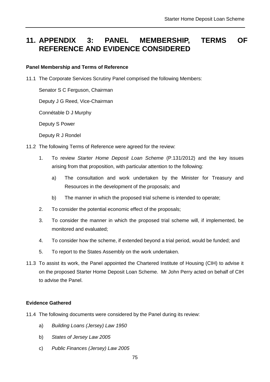# **11. APPENDIX 3: PANEL MEMBERSHIP, TERMS OF REFERENCE AND EVIDENCE CONSIDERED**

#### **Panel Membership and Terms of Reference**

11.1 The Corporate Services Scrutiny Panel comprised the following Members:

Senator S C Ferguson, Chairman

Deputy J G Reed, Vice-Chairman

Connétable D J Murphy

Deputy S Power

Deputy R J Rondel

- 11.2 The following Terms of Reference were agreed for the review:
	- 1. To review *Starter Home Deposit Loan Scheme* (P.131/2012) and the key issues arising from that proposition, with particular attention to the following:
		- a) The consultation and work undertaken by the Minister for Treasury and Resources in the development of the proposals; and
		- b) The manner in which the proposed trial scheme is intended to operate;
	- 2. To consider the potential economic effect of the proposals;
	- 3. To consider the manner in which the proposed trial scheme will, if implemented, be monitored and evaluated;
	- 4. To consider how the scheme, if extended beyond a trial period, would be funded; and
	- 5. To report to the States Assembly on the work undertaken.
- 11.3 To assist its work, the Panel appointed the Chartered Institute of Housing (CIH) to advise it on the proposed Starter Home Deposit Loan Scheme. Mr John Perry acted on behalf of CIH to advise the Panel.

#### **Evidence Gathered**

- 11.4 The following documents were considered by the Panel during its review:
	- a) *Building Loans (Jersey) Law 1950*
	- b) *States of Jersey Law 2005*
	- c) *Public Finances (Jersey) Law 2005*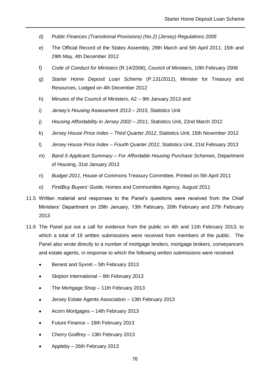- d) *Public Finances (Transitional Provisions) (No.2) (Jersey) Regulations 2005*
- e) The Official Record of the States Assembly, 29th March and 5th April 2011; 15th and 29th May, 4th December 2012
- f) *Code of Conduct for Ministers* (R.14/2006), Council of Ministers, 10th February 2006
- g) *Starter Home Deposit Loan Scheme* (P.131/2012), Minister for Treasury and Resources, Lodged on 4th December 2012
- h) Minutes of the Council of Ministers, A2 9th January 2013 and
- i) *Jersey's Housing Assessment 2013 – 2015*, Statistics Unit
- j) *Housing Affordability in Jersey 2002 – 2011*, Statistics Unit, 22nd March 2012
- k) *Jersey House Price Index – Third Quarter 2012*, Statistics Unit, 15th November 2012
- l) *Jersey House Price Index – Fourth Quarter 2012*, Statistics Unit, 21st February 2013
- m) *Band 5 Applicant Summary – For Affordable Housing Purchase Schemes*, Department of Housing, 31st January 2013
- n) *Budget 2011*, House of Commons Treasury Committee, Printed on 5th April 2011
- o) *FirstBuy Buyers' Guide*, Homes and Communities Agency, August 2011
- 11.5 Written material and responses to the Panel's questions were received from the Chief Ministers' Department on 29th January, 13th February, 20th February and 27th February 2013
- 11.6 The Panel put out a call for evidence from the public on 4th and 11th February 2013, to which a total of 19 written submissions were received from members of the public. The Panel also wrote directly to a number of mortgage lenders, mortgage brokers, conveyancers and estate agents, in response to which the following written submissions were received:
	- Benest and Syvret 5th February 2013
	- Skipton International 8th February 2013
	- The Mortgage Shop 11th February 2013  $\bullet$
	- $\bullet$ Jersey Estate Agents Association – 13th February 2013
	- Acorn Mortgages 14th February 2013  $\bullet$
	- Future Finance 18th February 2013  $\bullet$
	- Cherry Godfrey 13th February 2013  $\bullet$
	- Appleby 26th February 2013